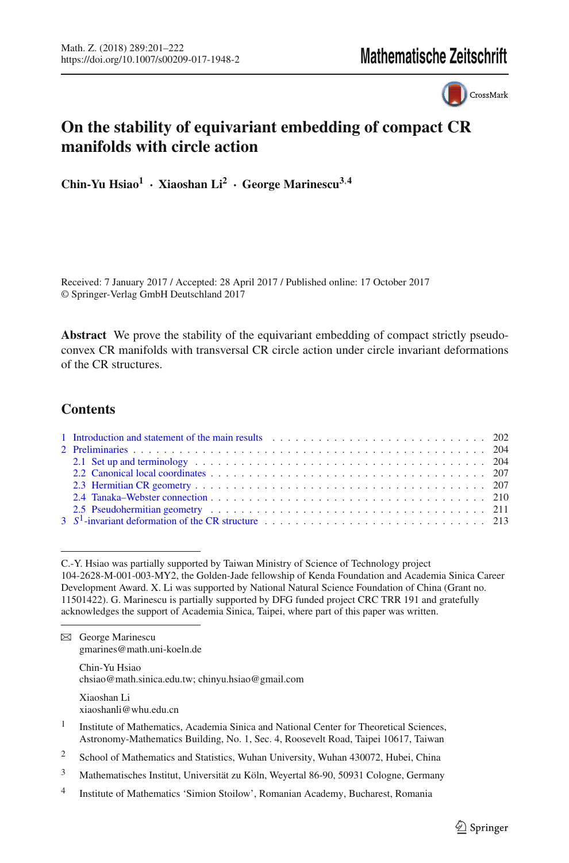CrossMark

# **On the stability of equivariant embedding of compact CR manifolds with circle action**

**Chin-Yu Hsiao1 · Xiaoshan Li2 · George Marinescu3**,**<sup>4</sup>**

Received: 7 January 2017 / Accepted: 28 April 2017 / Published online: 17 October 2017 © Springer-Verlag GmbH Deutschland 2017

**Abstract** We prove the stability of the equivariant embedding of compact strictly pseudoconvex CR manifolds with transversal CR circle action under circle invariant deformations of the CR structures.

# **Contents**

| 1 Introduction and statement of the main results enterstanding to the main results and the main results and the main results and the main results and the main results are mainly and the main results and the main results ar |  |
|--------------------------------------------------------------------------------------------------------------------------------------------------------------------------------------------------------------------------------|--|
|                                                                                                                                                                                                                                |  |
| 2.1 Set up and terminology enterpretation of the contract of the contract of the contract of the contract of the contract of the contract of the contract of the contract of the contract of the contract of the contract of t |  |
|                                                                                                                                                                                                                                |  |
|                                                                                                                                                                                                                                |  |
|                                                                                                                                                                                                                                |  |
| 2.5 Pseudohermitian geometry enterprise in the contract of the contract of the contract of the contract of the contract of the contract of the contract of the contract of the contract of the contract of the contract of the |  |
|                                                                                                                                                                                                                                |  |

C.-Y. Hsiao was partially supported by Taiwan Ministry of Science of Technology project 104-2628-M-001-003-MY2, the Golden-Jade fellowship of Kenda Foundation and Academia Sinica Career Development Award. X. Li was supported by National Natural Science Foundation of China (Grant no. 11501422). G. Marinescu is partially supported by DFG funded project CRC TRR 191 and gratefully acknowledges the support of Academia Sinica, Taipei, where part of this paper was written.

 $\boxtimes$  George Marinescu gmarines@math.uni-koeln.de

> Chin-Yu Hsiao chsiao@math.sinica.edu.tw; chinyu.hsiao@gmail.com

Xiaoshan Li xiaoshanli@whu.edu.cn

- <sup>1</sup> Institute of Mathematics, Academia Sinica and National Center for Theoretical Sciences, Astronomy-Mathematics Building, No. 1, Sec. 4, Roosevelt Road, Taipei 10617, Taiwan
- <sup>2</sup> School of Mathematics and Statistics, Wuhan University, Wuhan 430072, Hubei, China
- <sup>3</sup> Mathematisches Institut, Universität zu Köln, Weyertal 86-90, 50931 Cologne, Germany
- <sup>4</sup> Institute of Mathematics 'Simion Stoilow', Romanian Academy, Bucharest, Romania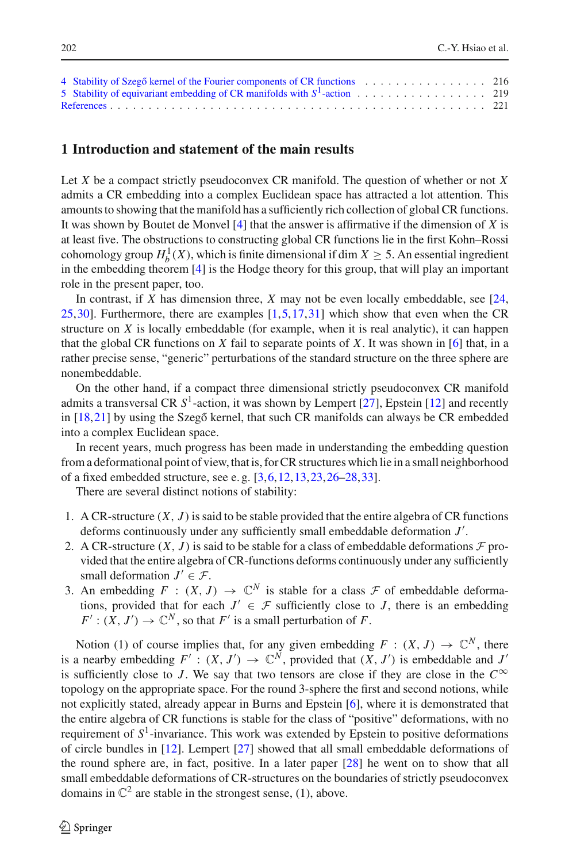| 5 Stability of equivariant embedding of CR manifolds with $S^1$ -action 219 |  |
|-----------------------------------------------------------------------------|--|
|                                                                             |  |

#### <span id="page-1-0"></span>**1 Introduction and statement of the main results**

Let *X* be a compact strictly pseudoconvex CR manifold. The question of whether or not *X* admits a CR embedding into a complex Euclidean space has attracted a lot attention. This amounts to showing that the manifold has a sufficiently rich collection of global CR functions. It was shown by Boutet de Monvel [\[4\]](#page-20-1) that the answer is affirmative if the dimension of *X* is at least five. The obstructions to constructing global CR functions lie in the first Kohn–Rossi cohomology group  $H_b^1(X)$ , which is finite dimensional if dim  $X \ge 5$ . An essential ingredient in the embedding theorem [\[4\]](#page-20-1) is the Hodge theory for this group, that will play an important role in the present paper, too.

In contrast, if *X* has dimension three, *X* may not be even locally embeddable, see [\[24,](#page-20-2) [25,](#page-20-3)[30](#page-20-4)]. Furthermore, there are examples [\[1,](#page-20-5)[5,](#page-20-6)[17](#page-20-7)[,31\]](#page-20-8) which show that even when the CR structure on  $X$  is locally embeddable (for example, when it is real analytic), it can happen that the global CR functions on *X* fail to separate points of *X*. It was shown in [\[6](#page-20-9)] that, in a rather precise sense, "generic" perturbations of the standard structure on the three sphere are nonembeddable.

On the other hand, if a compact three dimensional strictly pseudoconvex CR manifold admits a transversal CR *S*1-action, it was shown by Lempert [\[27\]](#page-20-10), Epstein [\[12](#page-20-11)] and recently in  $[18,21]$  $[18,21]$  $[18,21]$  by using the Szeg $\ddot{\text{o}}$  kernel, that such CR manifolds can always be CR embedded into a complex Euclidean space.

In recent years, much progress has been made in understanding the embedding question from a deformational point of view, that is, for CR structures which lie in a small neighborhood of a fixed embedded structure, see e. g. [\[3](#page-20-14)[,6,](#page-20-9)[12](#page-20-11)[,13](#page-20-15)[,23](#page-20-16),[26](#page-20-17)[–28](#page-20-18)[,33\]](#page-21-0).

There are several distinct notions of stability:

- 1. A CR-structure  $(X, J)$  is said to be stable provided that the entire algebra of CR functions deforms continuously under any sufficiently small embeddable deformation *J* .
- 2. A CR-structure  $(X, J)$  is said to be stable for a class of embeddable deformations  $\mathcal F$  provided that the entire algebra of CR-functions deforms continuously under any sufficiently small deformation  $J' \in \mathcal{F}$ .
- 3. An embedding  $F : (X, J) \to \mathbb{C}^N$  is stable for a class  $\mathcal F$  of embeddable deformations, provided that for each  $J' \in \mathcal{F}$  sufficiently close to *J*, there is an embedding  $F' : (X, J') \to \mathbb{C}^N$ , so that *F'* is a small perturbation of *F*.

Notion (1) of course implies that, for any given embedding  $F : (X, J) \to \mathbb{C}^N$ , there is a nearby embedding  $F' : (X, J') \to \mathbb{C}^N$ , provided that  $(X, J')$  is embeddable and  $J'$ is sufficiently close to *J*. We say that two tensors are close if they are close in the  $C^{\infty}$ topology on the appropriate space. For the round 3-sphere the first and second notions, while not explicitly stated, already appear in Burns and Epstein [\[6](#page-20-9)], where it is demonstrated that the entire algebra of CR functions is stable for the class of "positive" deformations, with no requirement of *S*1-invariance. This work was extended by Epstein to positive deformations of circle bundles in [\[12](#page-20-11)]. Lempert [\[27](#page-20-10)] showed that all small embeddable deformations of the round sphere are, in fact, positive. In a later paper [\[28](#page-20-18)] he went on to show that all small embeddable deformations of CR-structures on the boundaries of strictly pseudoconvex domains in  $\mathbb{C}^2$  are stable in the strongest sense, (1), above.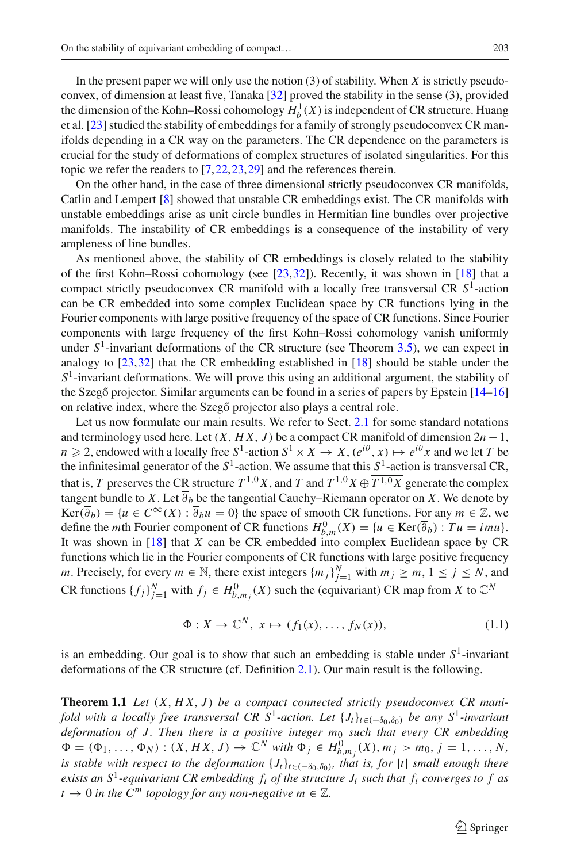In the present paper we will only use the notion (3) of stability. When *X* is strictly pseudoconvex, of dimension at least five, Tanaka [\[32\]](#page-21-1) proved the stability in the sense (3), provided the dimension of the Kohn–Rossi cohomology  $H_b^1(X)$  is independent of CR structure. Huang et al. [\[23](#page-20-16)] studied the stability of embeddings for a family of strongly pseudoconvex CR manifolds depending in a CR way on the parameters. The CR dependence on the parameters is crucial for the study of deformations of complex structures of isolated singularities. For this topic we refer the readers to [\[7](#page-20-19)[,22](#page-20-20)[,23](#page-20-16),[29](#page-20-21)] and the references therein.

On the other hand, in the case of three dimensional strictly pseudoconvex CR manifolds, Catlin and Lempert [\[8](#page-20-22)] showed that unstable CR embeddings exist. The CR manifolds with unstable embeddings arise as unit circle bundles in Hermitian line bundles over projective manifolds. The instability of CR embeddings is a consequence of the instability of very ampleness of line bundles.

As mentioned above, the stability of CR embeddings is closely related to the stability of the first Kohn–Rossi cohomology (see  $[23,32]$  $[23,32]$ ). Recently, it was shown in  $[18]$  that a compact strictly pseudoconvex CR manifold with a locally free transversal CR *S*1-action can be CR embedded into some complex Euclidean space by CR functions lying in the Fourier components with large positive frequency of the space of CR functions. Since Fourier components with large frequency of the first Kohn–Rossi cohomology vanish uniformly under  $S<sup>1</sup>$ -invariant deformations of the CR structure (see Theorem [3.5\)](#page-13-0), we can expect in analogy to [\[23,](#page-20-16)[32](#page-21-1)] that the CR embedding established in [\[18](#page-20-12)] should be stable under the  $S<sup>1</sup>$ -invariant deformations. We will prove this using an additional argument, the stability of the Szegő projector. Similar arguments can be found in a series of papers by Epstein  $[14-16]$  $[14-16]$ on relative index, where the Szegő projector also plays a central role.

Let us now formulate our main results. We refer to Sect. [2.1](#page-3-1) for some standard notations and terminology used here. Let  $(X, HX, J)$  be a compact CR manifold of dimension  $2n - 1$ ,  $n \ge 2$ , endowed with a locally free  $S^1$ -action  $S^1 \times X \to X$ ,  $(e^{i\theta}, x) \mapsto e^{i\theta}x$  and we let *T* be the infinitesimal generator of the  $S^1$ -action. We assume that this  $S^1$ -action is transversal CR, that is, *T* preserves the CR structure  $T^{1,0}X$ , and *T* and  $T^{1,0}X \oplus \overline{T^{1,0}X}$  generate the complex tangent bundle to *X*. Let  $\overline{\partial}_b$  be the tangential Cauchy–Riemann operator on *X*. We denote by  $Ker(\overline{\partial}_b) = \{u \in C^\infty(X) : \overline{\partial}_b u = 0\}$  the space of smooth CR functions. For any  $m \in \mathbb{Z}$ , we define the *m*th Fourier component of CR functions  $H_{b,m}^0(X) = \{u \in \text{Ker}(\overline{\partial}_b) : Tu = imu\}.$ It was shown in [\[18\]](#page-20-12) that *X* can be CR embedded into complex Euclidean space by CR functions which lie in the Fourier components of CR functions with large positive frequency *m*. Precisely, for every  $m \in \mathbb{N}$ , there exist integers  $\{m_j\}_{j=1}^N$  with  $m_j \ge m, 1 \le j \le N$ , and CR functions  $\{f_j\}_{j=1}^N$  with  $f_j \in H^0_{b,m_j}(X)$  such the (equivariant) CR map from *X* to  $\mathbb{C}^N$ 

$$
\Phi: X \to \mathbb{C}^N, \ x \mapsto (f_1(x), \dots, f_N(x)), \tag{1.1}
$$

<span id="page-2-0"></span>is an embedding. Our goal is to show that such an embedding is stable under  $S<sup>1</sup>$ -invariant deformations of the CR structure (cf. Definition [2.1\)](#page-4-0). Our main result is the following.

**Theorem 1.1** *Let* (*X*, *H X*, *J* ) *be a compact connected strictly pseudoconvex CR manifold with a locally free transversal CR S<sup>1</sup>-action. Let*  $\{J_t\}_{t \in (-\delta_0, \delta_0)}$  *be any S<sup>1</sup>-invariant deformation of J. Then there is a positive integer m*<sup>0</sup> *such that every CR embedding*  $\Phi = (\Phi_1, \ldots, \Phi_N) : (X, HX, J) \to \mathbb{C}^N$  with  $\Phi_j \in H_{b,m_j}^0(X), m_j > m_0, j = 1, \ldots, N$ , *is stable with respect to the deformation*  $\{J_t\}_{t \in (-\delta_0, \delta_0)}$ *, that is, for*  $|t|$  *small enough there exists an*  $S^1$ -equivariant CR embedding  $f_t$  of the structure  $J_t$  such that  $f_t$  converges to f as  $t \to 0$  *in the C<sup>m</sup> topology for any non-negative m*  $\in \mathbb{Z}$ .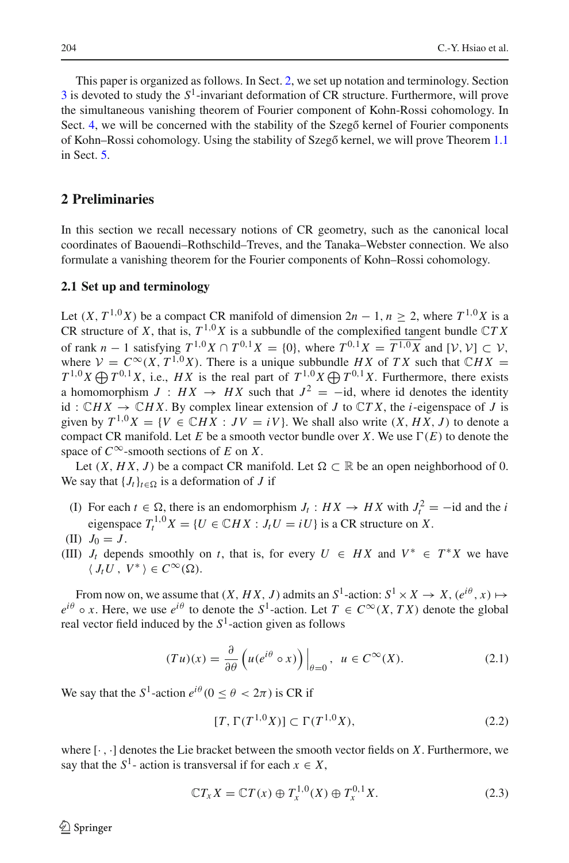This paper is organized as follows. In Sect. [2,](#page-3-0) we set up notation and terminology. Section [3](#page-12-0) is devoted to study the *S*1-invariant deformation of CR structure. Furthermore, will prove the simultaneous vanishing theorem of Fourier component of Kohn-Rossi cohomology. In Sect. [4,](#page-15-0) we will be concerned with the stability of the Szegő kernel of Fourier components of Kohn–Rossi cohomology. Using the stability of Szegő kernel, we will prove Theorem [1.1](#page-2-0) in Sect. [5.](#page-18-0)

### <span id="page-3-0"></span>**2 Preliminaries**

In this section we recall necessary notions of CR geometry, such as the canonical local coordinates of Baouendi–Rothschild–Treves, and the Tanaka–Webster connection. We also formulate a vanishing theorem for the Fourier components of Kohn–Rossi cohomology.

#### <span id="page-3-1"></span>**2.1 Set up and terminology**

Let  $(X, T^{1,0}X)$  be a compact CR manifold of dimension  $2n - 1$ ,  $n > 2$ , where  $T^{1,0}X$  is a CR structure of *X*, that is,  $T^{1,0}X$  is a subbundle of the complexified tangent bundle  $CTX$ of rank *n* − 1 satisfying  $T^{1,0}X \cap T^{0,1}X = \{0\}$ , where  $T^{0,1}X = \overline{T^{1,0}X}$  and  $[*V*, *V*] \subset *V*$ , where  $V = C^{\infty}(X, T^{1,0}X)$ . There is a unique subbundle *HX* of *TX* such that  $\mathbb{C}HX =$  $T^{1,0}X \bigoplus T^{0,1}X$ , i.e., *HX* is the real part of  $T^{1,0}X \bigoplus T^{0,1}X$ . Furthermore, there exists a homomorphism  $J : HX \rightarrow HX$  such that  $J^2 = -id$ , where id denotes the identity id:  $\mathbb{C}H X \to \mathbb{C}H X$ . By complex linear extension of *J* to  $\mathbb{C}TX$ , the *i*-eigenspace of *J* is given by  $T^{1,0}X = \{V \in \mathbb{C}HX : JV = iV\}$ . We shall also write  $(X, HX, J)$  to denote a compact CR manifold. Let  $E$  be a smooth vector bundle over  $X$ . We use  $\Gamma(E)$  to denote the space of  $C^{\infty}$ -smooth sections of *E* on *X*.

Let  $(X, HX, J)$  be a compact CR manifold. Let  $\Omega \subset \mathbb{R}$  be an open neighborhood of 0. We say that  ${J_t}_{t \in \Omega}$  is a deformation of *J* if

- (I) For each  $t \in \Omega$ , there is an endomorphism  $J_t : HX \to HX$  with  $J_t^2 = -id$  and the *i* eigenspace  $T_t^{1,0}X = \{U \in \mathbb{C}HX : J_tU = iU\}$  is a CR structure on X.
- (II)  $J_0 = J$ .
- (III)  $J_t$  depends smoothly on *t*, that is, for every  $U \in HX$  and  $V^* \in T^*X$  we have  $\langle J_tU, V^* \rangle \in C^{\infty}(\Omega)$ .

From now on, we assume that  $(X, HX, J)$  admits an  $S^1$ -action:  $S^1 \times X \to X$ ,  $(e^{i\theta}, x) \mapsto$  $e^{i\theta} \circ x$ . Here, we use  $e^{i\theta}$  to denote the *S*<sup>1</sup>-action. Let  $T \in C^\infty(X, TX)$  denote the global real vector field induced by the  $S<sup>1</sup>$ -action given as follows

$$
(Tu)(x) = \frac{\partial}{\partial \theta} \left( u(e^{i\theta} \circ x) \right) \Big|_{\theta=0}, \ u \in C^{\infty}(X). \tag{2.1}
$$

We say that the  $S^1$ -action  $e^{i\theta}$  ( $0 \le \theta < 2\pi$ ) is CR if

<span id="page-3-2"></span>
$$
[T, \Gamma(T^{1,0}X)] \subset \Gamma(T^{1,0}X),\tag{2.2}
$$

where [· , ·] denotes the Lie bracket between the smooth vector fields on *X*. Furthermore, we say that the  $S^1$ - action is transversal if for each  $x \in X$ ,

$$
\mathbb{C}T_xX = \mathbb{C}T(x) \oplus T_x^{1,0}(X) \oplus T_x^{0,1}X.
$$
 (2.3)

 $\circledcirc$  Springer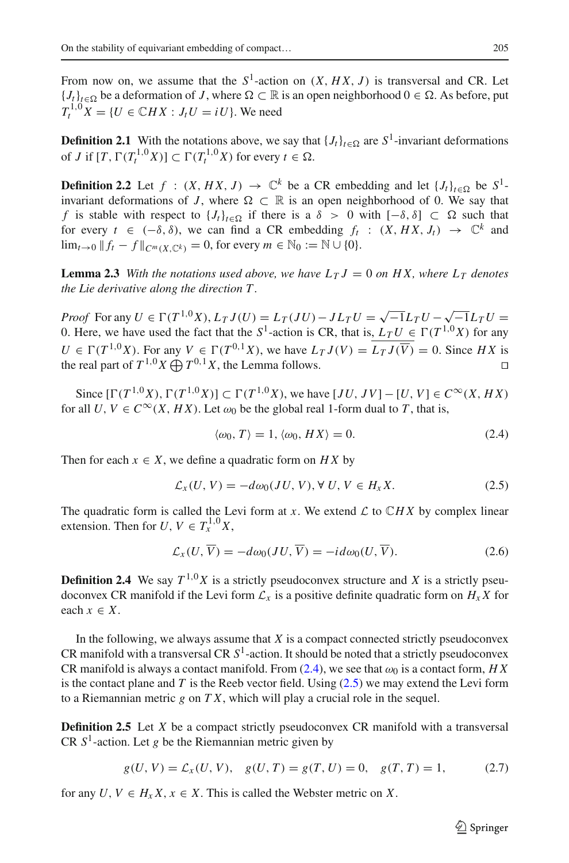From now on, we assume that the  $S^1$ -action on  $(X, HX, J)$  is transversal and CR. Let  ${J_t}_{t \in \Omega}$  be a deformation of *J*, where  $\Omega$  ⊂ ℝ is an open neighborhood  $0 \in \Omega$ . As before, put  $T^{1,0}X = \{U \in \mathbb{C}HX : J_tU = iU\}$ . We need

<span id="page-4-0"></span>**Definition 2.1** With the notations above, we say that  ${J_t}_{t \in \Omega}$  are  $S^1$ -invariant deformations of *J* if  $[T, \Gamma(T_t^{1,0}X)] \subset \Gamma(T_t^{1,0}X)$  for every  $t \in \Omega$ .

**Definition 2.2** Let  $f : (X, HX, J) \rightarrow \mathbb{C}^k$  be a CR embedding and let  $\{J_t\}_{t \in \Omega}$  be  $S^1$ invariant deformations of *J*, where  $\Omega \subset \mathbb{R}$  is an open neighborhood of 0. We say that *f* is stable with respect to  ${J_t}_{t \in \Omega}$  if there is a  $\delta > 0$  with  $[-\delta, \delta] \subset \Omega$  such that for every  $t \in (-\delta, \delta)$ , we can find a CR embedding  $f_t : (X, HX, J_t) \to \mathbb{C}^k$  and lim<sub>t→0</sub>  $|| f_t - f ||_{C^m(X \cap K)} = 0$ , for every  $m \in \mathbb{N}_0 := \mathbb{N} \cup \{0\}.$ 

**Lemma 2.3** With the notations used above, we have  $L_T J = 0$  on HX, where  $L_T$  denotes *the Lie derivative along the direction T .*

*Proof* For any  $U \in \Gamma(T^{1,0}X)$ ,  $L_T J(U) = L_T (JU) - J L_T U = \sqrt{-1}L_T U - \sqrt{-1}L_T U =$ 0. Here, we have used the fact that the  $S^1$ -action is CR, that is,  $L_T U \in \Gamma(T^{1,0}X)$  for any *U* ∈  $\Gamma(T^{1,0}X)$ . For any *V* ∈  $\Gamma(T^{0,1}X)$ , we have  $L_T J(V) = \overline{L_T J(\overline{V})} = 0$ . Since *HX* is the real part of  $T^{1,0}X \oplus T^{0,1}X$ , the Lemma follows. the real part of  $T^{1,0}X \bigoplus T^{0,1}X$ , the Lemma follows.

Since  $[Γ(T^{1,0}X), Γ(T^{1,0}X)] ⊂ Γ(T^{1,0}X)$ , we have  $[JU, JV] − [U, V] ∈ C<sup>∞</sup>(X, HX)$ for all *U*,  $V \in C^{\infty}(X, HX)$ . Let  $\omega_0$  be the global real 1-form dual to *T*, that is,

<span id="page-4-1"></span>
$$
\langle \omega_0, T \rangle = 1, \langle \omega_0, HX \rangle = 0. \tag{2.4}
$$

Then for each  $x \in X$ , we define a quadratic form on  $H X$  by

<span id="page-4-2"></span>
$$
\mathcal{L}_x(U, V) = -d\omega_0(JU, V), \forall U, V \in H_xX.
$$
\n(2.5)

The quadratic form is called the Levi form at *x*. We extend  $\mathcal L$  to  $\mathbb C H X$  by complex linear extension. Then for  $U, V \in T^{1,0}_x X$ ,

$$
\mathcal{L}_x(U, \overline{V}) = -d\omega_0(JU, \overline{V}) = -id\omega_0(U, \overline{V}).
$$
\n(2.6)

**Definition 2.4** We say  $T^{1,0}X$  is a strictly pseudoconvex structure and X is a strictly pseudoconvex CR manifold if the Levi form  $\mathcal{L}_x$  is a positive definite quadratic form on  $H_x X$  for each  $x \in X$ .

In the following, we always assume that  $X$  is a compact connected strictly pseudoconvex CR manifold with a transversal CR  $S<sup>1</sup>$ -action. It should be noted that a strictly pseudoconvex CR manifold is always a contact manifold. From [\(2.4\)](#page-4-1), we see that  $\omega_0$  is a contact form, *HX* is the contact plane and *T* is the Reeb vector field. Using [\(2.5\)](#page-4-2) we may extend the Levi form to a Riemannian metric *g* on *T X*, which will play a crucial role in the sequel.

**Definition 2.5** Let *X* be a compact strictly pseudoconvex CR manifold with a transversal CR  $S<sup>1</sup>$ -action. Let *g* be the Riemannian metric given by

<span id="page-4-3"></span>
$$
g(U, V) = \mathcal{L}_x(U, V), \quad g(U, T) = g(T, U) = 0, \quad g(T, T) = 1,
$$
\n(2.7)

for any  $U, V \in H_x X, x \in X$ . This is called the Webster metric on X.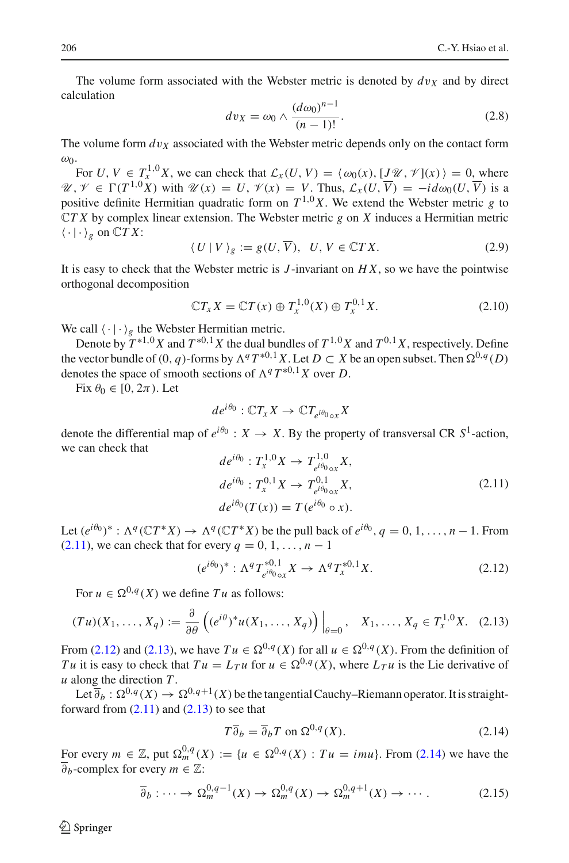The volume form associated with the Webster metric is denoted by  $dv<sub>X</sub>$  and by direct calculation

<span id="page-5-6"></span>
$$
dv_X = \omega_0 \wedge \frac{(d\omega_0)^{n-1}}{(n-1)!}.
$$
 (2.8)

The volume form  $dv_X$  associated with the Webster metric depends only on the contact form  $ω_0$ .

For *U*,  $V \in T_x^{1,0}X$ , we can check that  $\mathcal{L}_x(U, V) = \langle \omega_0(x), [J\mathcal{U}, \mathcal{Y}](x) \rangle = 0$ , where *U*,  $\mathcal{V}$  ∈  $\Gamma(T^{1,0}X)$  with  $\mathcal{U}(x) = U$ ,  $\mathcal{V}(x) = V$ . Thus,  $\mathcal{L}_x(U, \overline{V}) = -id\omega_0(U, \overline{V})$  is a positive definite Hermitian quadratic form on  $T^{1,0}X$ . We extend the Webster metric *g* to C*T X* by complex linear extension. The Webster metric *g* on *X* induces a Hermitian metric  $\langle \cdot | \cdot \rangle_{\varphi}$  on  $\mathbb{C} T X$ :

<span id="page-5-4"></span>
$$
\langle U | V \rangle_g := g(U, \overline{V}), \ U, V \in \mathbb{C}TX. \tag{2.9}
$$

It is easy to check that the Webster metric is *J* -invariant on *H X*, so we have the pointwise orthogonal decomposition

<span id="page-5-5"></span>
$$
\mathbb{C}T_xX = \mathbb{C}T(x) \oplus T_x^{1,0}(X) \oplus T_x^{0,1}X.
$$
 (2.10)

We call  $\langle \cdot | \cdot \rangle_{\varrho}$  the Webster Hermitian metric.

Denote by  $T^{*1,0}X$  and  $T^{*0,1}X$  the dual bundles of  $T^{1,0}X$  and  $T^{0,1}X$ , respectively. Define the vector bundle of  $(0, q)$ -forms by  $\Lambda^q T^{*0,1} X$ . Let  $D \subset X$  be an open subset. Then  $\Omega^{0,q}(D)$ denotes the space of smooth sections of  $\Lambda^q T^{*0,1} X$  over *D*.

Fix  $\theta_0 \in [0, 2\pi)$ . Let

$$
de^{i\theta_0}: \mathbb{C}T_xX \to \mathbb{C}T_{e^{i\theta_0} \circ x}X
$$

denote the differential map of  $e^{i\theta_0}$ :  $X \to X$ . By the property of transversal CR  $S^1$ -action, we can check that

<span id="page-5-0"></span>
$$
de^{i\theta_{0}}: T_{x}^{1,0}X \to T_{e^{i\theta_{0}}\circ x}^{1,0}X,
$$
  
\n
$$
de^{i\theta_{0}}: T_{x}^{0,1}X \to T_{e^{i\theta_{0}}\circ x}^{0,1}X,
$$
  
\n
$$
de^{i\theta_{0}}(T(x)) = T(e^{i\theta_{0}} \circ x).
$$
\n(2.11)

Let  $(e^{i\theta_0})^*$ :  $\Lambda^q(\mathbb{C}T^*X) \to \Lambda^q(\mathbb{C}T^*X)$  be the pull back of  $e^{i\theta_0}$ ,  $q = 0, 1, \ldots, n - 1$ . From  $(2.11)$ , we can check that for every  $q = 0, 1, \ldots, n - 1$ 

<span id="page-5-1"></span>
$$
(e^{i\theta_0})^* : \Lambda^q T_{e^{i\theta_0} \circ x}^{*0,1} X \to \Lambda^q T_x^{*0,1} X. \tag{2.12}
$$

For  $u \in \Omega^{0,q}(X)$  we define  $Tu$  as follows:

<span id="page-5-2"></span>
$$
(Tu)(X_1,\ldots,X_q) := \frac{\partial}{\partial \theta} \left( (e^{i\theta})^* u(X_1,\ldots,X_q) \right) \Big|_{\theta=0}, \quad X_1,\ldots,X_q \in T^{1,0}_x X. \tag{2.13}
$$

From [\(2.12\)](#page-5-1) and [\(2.13\)](#page-5-2), we have  $Tu \in \Omega^{0,q}(X)$  for all  $u \in \Omega^{0,q}(X)$ . From the definition of *Tu* it is easy to check that  $Tu = L_T u$  for  $u \in \Omega^{0,q}(X)$ , where  $L_T u$  is the Lie derivative of *u* along the direction *T* .

Let  $\overline{\partial}_b : \Omega^{0,q}(X) \to \Omega^{0,q+1}(X)$  be the tangential Cauchy–Riemann operator. It is straightforward from  $(2.11)$  and  $(2.13)$  to see that

<span id="page-5-3"></span>
$$
T\overline{\partial}_b = \overline{\partial}_b T \text{ on } \Omega^{0,q}(X). \tag{2.14}
$$

For every *m* ∈ ℤ, put  $\Omega_m^{0,q}(X) := \{u \in \Omega^{0,q}(X) : Tu = imu\}$ . From [\(2.14\)](#page-5-3) we have the  $\overline{\partial}_b$ -complex for every  $m \in \mathbb{Z}$ :

$$
\overline{\partial}_b : \cdots \to \Omega_m^{0,q-1}(X) \to \Omega_m^{0,q}(X) \to \Omega_m^{0,q+1}(X) \to \cdots. \tag{2.15}
$$

 $\mathcal{L}$  Springer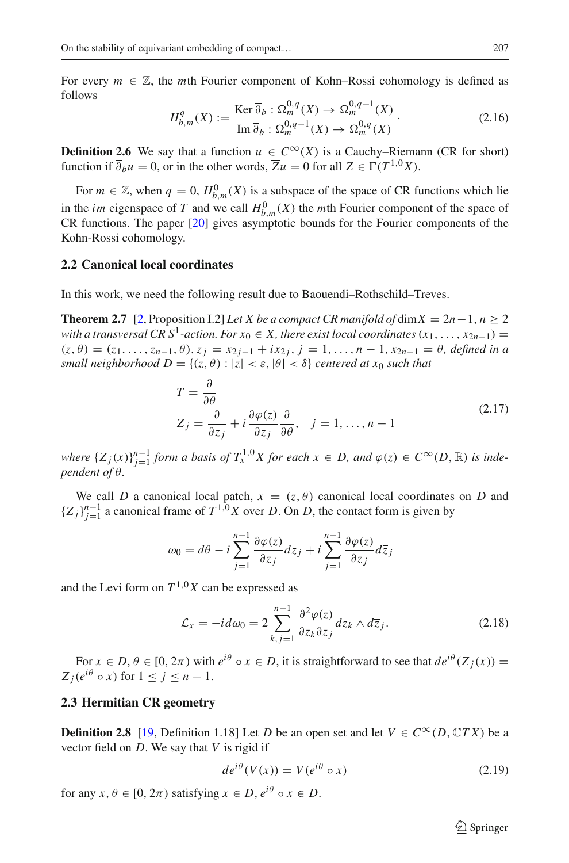For every  $m \in \mathbb{Z}$ , the *m*th Fourier component of Kohn–Rossi cohomology is defined as follows

$$
H_{b,m}^q(X) := \frac{\text{Ker }\overline{\partial}_b : \Omega_m^{0,q}(X) \to \Omega_m^{0,q+1}(X)}{\text{Im }\overline{\partial}_b : \Omega_m^{0,q-1}(X) \to \Omega_m^{0,q}(X)}.
$$
\n(2.16)

**Definition 2.6** We say that a function  $u \in C^{\infty}(X)$  is a Cauchy–Riemann (CR for short) function if  $\overline{\partial}_b u = 0$ , or in the other words,  $\overline{Z}u = 0$  for all  $Z \in \Gamma(T^{1,0}X)$ .

For  $m \in \mathbb{Z}$ , when  $q = 0$ ,  $H_{b,m}^0(X)$  is a subspace of the space of CR functions which lie in the *im* eigenspace of *T* and we call  $H_{b,m}^0(X)$  the *m*th Fourier component of the space of CR functions. The paper [\[20](#page-20-25)] gives asymptotic bounds for the Fourier components of the Kohn-Rossi cohomology.

#### <span id="page-6-0"></span>**2.2 Canonical local coordinates**

<span id="page-6-3"></span>In this work, we need the following result due to Baouendi–Rothschild–Treves.

**Theorem 2.7** [\[2,](#page-20-26) Proposition I.2] *Let X be a compact CR manifold of* dim  $X = 2n - 1$ ,  $n > 2$ *with a transversal CR S<sup>1</sup>-action. For*  $x_0 \in X$ *, there exist local coordinates*  $(x_1, \ldots, x_{2n-1}) =$  $(z, \theta) = (z_1, \ldots, z_{n-1}, \theta), z_j = x_{2j-1} + ix_{2j}, j = 1, \ldots, n-1, x_{2n-1} = \theta$ , defined in a *small neighborhood*  $D = \{(z, \theta) : |z| < \varepsilon, |\theta| < \delta\}$  *centered at*  $x_0$  *such that* 

<span id="page-6-2"></span>
$$
T = \frac{\partial}{\partial \theta}
$$
  
\n
$$
Z_j = \frac{\partial}{\partial z_j} + i \frac{\partial \varphi(z)}{\partial z_j} \frac{\partial}{\partial \theta}, \quad j = 1, ..., n-1
$$
\n(2.17)

*where*  $\{Z_j(x)\}_{j=1}^{n-1}$  *form a basis of*  $T_x^{1,0}X$  *for each*  $x \in D$ *, and*  $\varphi(z) \in C^\infty(D, \mathbb{R})$  *is independent of* θ*.*

We call *D* a canonical local patch,  $x = (z, \theta)$  canonical local coordinates on *D* and  ${Z_j}_{j=1}^{n-1}$  a canonical frame of  $T^{1,0}X$  over *D*. On *D*, the contact form is given by

$$
\omega_0 = d\theta - i \sum_{j=1}^{n-1} \frac{\partial \varphi(z)}{\partial z_j} dz_j + i \sum_{j=1}^{n-1} \frac{\partial \varphi(z)}{\partial \overline{z}_j} d\overline{z}_j
$$

and the Levi form on  $T^{1,0}X$  can be expressed as

$$
\mathcal{L}_x = -id\omega_0 = 2\sum_{k,j=1}^{n-1} \frac{\partial^2 \varphi(z)}{\partial z_k \partial \overline{z}_j} dz_k \wedge d\overline{z}_j.
$$
 (2.18)

For  $x \in D$ ,  $\theta \in [0, 2\pi)$  with  $e^{i\theta} \circ x \in D$ , it is straightforward to see that  $de^{i\theta}(Z_i(x)) =$  $Z_i(e^{i\theta} \circ x)$  for  $1 \leq j \leq n-1$ .

#### <span id="page-6-1"></span>**2.3 Hermitian CR geometry**

**Definition 2.8** [\[19,](#page-20-27) Definition 1.18] Let *D* be an open set and let  $V \in C^{\infty}(D, \mathbb{C}TX)$  be a vector field on *D*. We say that *V* is rigid if

$$
de^{i\theta}(V(x)) = V(e^{i\theta} \circ x)
$$
 (2.19)

for any  $x, \theta \in [0, 2\pi)$  satisfying  $x \in D$ ,  $e^{i\theta} \circ x \in D$ .

 $\mathcal{L}$  Springer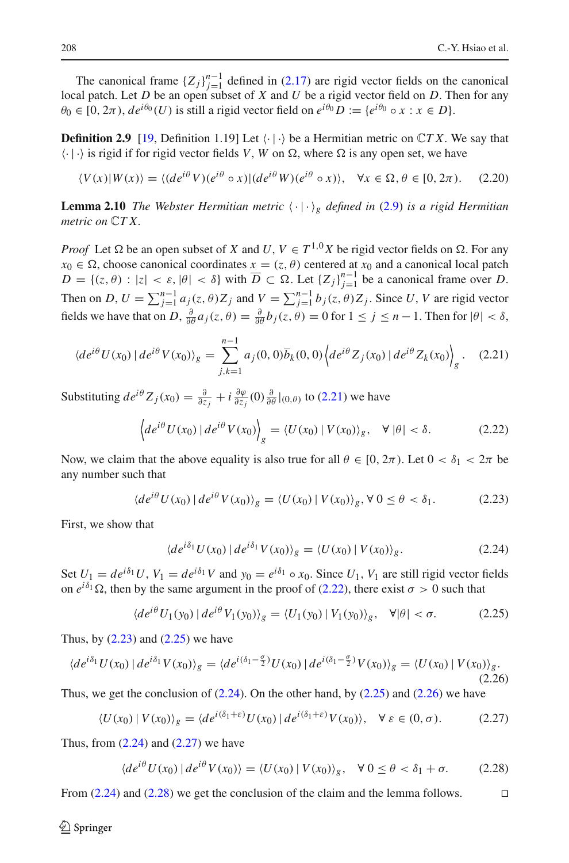The canonical frame  ${Z_j}_{j=1}^{n-1}$  defined in [\(2.17\)](#page-6-2) are rigid vector fields on the canonical classical rate. But the capacity of *X* and *M* has giving the field on D. Then for any local patch. Let *D* be an open subset of *X* and *U* be a rigid vector field on *D*. Then for any  $\theta_0 \in [0, 2\pi), \, de^{i\theta_0}(U)$  is still a rigid vector field on  $e^{i\theta_0}D := \{e^{i\theta_0} \circ x : x \in D\}.$ 

**Definition 2.9** [\[19,](#page-20-27) Definition 1.19] Let  $\langle \cdot | \cdot \rangle$  be a Hermitian metric on  $\mathbb{C}TX$ . We say that  $\langle \cdot | \cdot \rangle$  is rigid if for rigid vector fields *V*, *W* on  $\Omega$ , where  $\Omega$  is any open set, we have

$$
\langle V(x)|W(x)\rangle = \langle (de^{i\theta}V)(e^{i\theta} \circ x)|(de^{i\theta}W)(e^{i\theta} \circ x)\rangle, \quad \forall x \in \Omega, \theta \in [0, 2\pi). \tag{2.20}
$$

**Lemma 2.10** *The Webster Hermitian metric*  $\langle \cdot | \cdot \rangle_g$  *defined in* [\(2.9\)](#page-5-4) *is a rigid Hermitian metric on* C*T X.*

*Proof* Let  $\Omega$  be an open subset of *X* and *U*,  $V \in T^{1,0}X$  be rigid vector fields on  $\Omega$ . For any  $x_0 \in \Omega$ , choose canonical coordinates  $x = (z, \theta)$  centered at  $x_0$  and a canonical local patch  $D = \{(z, \theta) : |z| < \varepsilon, |\theta| < \delta\}$  with  $\overline{D} \subset \Omega$ . Let  $\{Z_j\}_{j=1}^{n-1}$  be a canonical frame over *D*. Then on *D*,  $U = \sum_{j=1}^{n-1} a_j(z, \theta) Z_j$  and  $V = \sum_{j=1}^{n-1} b_j(z, \theta) Z_j$ . Since *U*, *V* are rigid vector fields we have that on *D*,  $\frac{\partial}{\partial \theta} a_j(z, \theta) = \frac{\partial}{\partial \theta} b_j(z, \theta) = 0$  for  $1 \le j \le n - 1$ . Then for  $|\theta| < \delta$ ,

<span id="page-7-0"></span>
$$
\langle de^{i\theta} U(x_0) | de^{i\theta} V(x_0) \rangle_g = \sum_{j,k=1}^{n-1} a_j(0,0) \overline{b}_k(0,0) \left\langle de^{i\theta} Z_j(x_0) | de^{i\theta} Z_k(x_0) \right\rangle_g. \quad (2.21)
$$

Substituting  $de^{i\theta}Z_j(x_0) = \frac{\partial}{\partial z_j} + i \frac{\partial \varphi}{\partial z_j}(0) \frac{\partial}{\partial \theta}|_{(0,\theta)}$  to [\(2.21\)](#page-7-0) we have

<span id="page-7-1"></span>
$$
\left\langle de^{i\theta}U(x_0) \, | \, de^{i\theta}V(x_0) \right\rangle_g = \left\langle U(x_0) \, | \, V(x_0) \right\rangle_g, \quad \forall \, |\theta| < \delta. \tag{2.22}
$$

Now, we claim that the above equality is also true for all  $\theta \in [0, 2\pi)$ . Let  $0 < \delta_1 < 2\pi$  be any number such that

<span id="page-7-2"></span>
$$
\langle de^{i\theta} U(x_0) | de^{i\theta} V(x_0) \rangle_g = \langle U(x_0) | V(x_0) \rangle_g, \forall 0 \le \theta < \delta_1. \tag{2.23}
$$

First, we show that

<span id="page-7-4"></span>
$$
\langle de^{i\delta_1} U(x_0) | de^{i\delta_1} V(x_0) \rangle_g = \langle U(x_0) | V(x_0) \rangle_g. \tag{2.24}
$$

Set  $U_1 = de^{i\delta_1}U$ ,  $V_1 = de^{i\delta_1}V$  and  $y_0 = e^{i\delta_1} \circ x_0$ . Since  $U_1$ ,  $V_1$  are still rigid vector fields on  $e^{i\delta_1}\Omega$ , then by the same argument in the proof of [\(2.22\)](#page-7-1), there exist  $\sigma > 0$  such that

<span id="page-7-3"></span>
$$
\langle de^{i\theta} U_1(y_0) \, | \, de^{i\theta} V_1(y_0) \rangle_g = \langle U_1(y_0) \, | \, V_1(y_0) \rangle_g, \quad \forall |\theta| < \sigma. \tag{2.25}
$$

Thus, by  $(2.23)$  and  $(2.25)$  we have

<span id="page-7-5"></span>
$$
\langle de^{i\delta_1} U(x_0) \mid de^{i\delta_1} V(x_0) \rangle_g = \langle de^{i(\delta_1 - \frac{\sigma}{2})} U(x_0) \mid de^{i(\delta_1 - \frac{\sigma}{2})} V(x_0) \rangle_g = \langle U(x_0) \mid V(x_0) \rangle_g. \tag{2.26}
$$

Thus, we get the conclusion of  $(2.24)$ . On the other hand, by  $(2.25)$  and  $(2.26)$  we have

<span id="page-7-6"></span>
$$
\langle U(x_0) \mid V(x_0) \rangle_g = \langle de^{i(\delta_1 + \varepsilon)} U(x_0) \mid de^{i(\delta_1 + \varepsilon)} V(x_0) \rangle, \quad \forall \ \varepsilon \in (0, \sigma). \tag{2.27}
$$

Thus, from  $(2.24)$  and  $(2.27)$  we have

<span id="page-7-7"></span>
$$
\langle de^{i\theta} U(x_0) | de^{i\theta} V(x_0) \rangle = \langle U(x_0) | V(x_0) \rangle_g, \quad \forall \ 0 \le \theta < \delta_1 + \sigma. \tag{2.28}
$$

From  $(2.24)$  and  $(2.28)$  we get the conclusion of the claim and the lemma follows.  $\Box$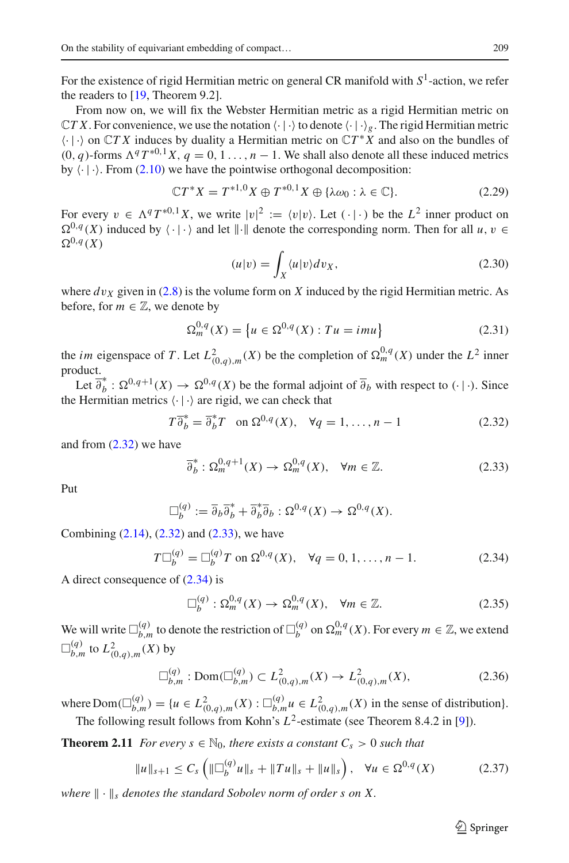For the existence of rigid Hermitian metric on general CR manifold with *S*1-action, we refer the readers to [\[19](#page-20-27), Theorem 9.2].

From now on, we will fix the Webster Hermitian metric as a rigid Hermitian metric on  $\mathbb{C}TX$ . For convenience, we use the notation  $\langle \cdot | \cdot \rangle$  to denote  $\langle \cdot | \cdot \rangle_g$ . The rigid Hermitian metric  $\langle \cdot | \cdot \rangle$  on  $\mathbb{C}TX$  induces by duality a Hermitian metric on  $\mathbb{C}T^*X$  and also on the bundles of  $(0, q)$ -forms  $\Lambda^q T^{*0,1} X$ ,  $q = 0, 1, \ldots, n-1$ . We shall also denote all these induced metrics by  $\langle \cdot | \cdot \rangle$ . From [\(2.10\)](#page-5-5) we have the pointwise orthogonal decomposition:

$$
\mathbb{C}T^*X = T^{*1,0}X \oplus T^{*0,1}X \oplus {\lambda\omega_0 : \lambda \in \mathbb{C}}.
$$
 (2.29)

For every  $v \in \Lambda^q T^{*0,1} X$ , we write  $|v|^2 := \langle v | v \rangle$ . Let  $(\cdot | \cdot)$  be the  $L^2$  inner product on  $\Omega^{0,q}(X)$  induced by  $\langle \cdot | \cdot \rangle$  and let  $\| \cdot \|$  denote the corresponding norm. Then for all  $u, v \in$  $\Omega^{0,q}(X)$ 

$$
(u|v) = \int_X \langle u|v \rangle dv_X, \tag{2.30}
$$

where  $dv_x$  given in [\(2.8\)](#page-5-6) is the volume form on X induced by the rigid Hermitian metric. As before, for  $m \in \mathbb{Z}$ , we denote by

$$
\Omega_m^{0,q}(X) = \left\{ u \in \Omega^{0,q}(X) : Tu = imu \right\}
$$
\n(2.31)

the *im* eigenspace of *T*. Let  $L^2_{(0,q),m}(X)$  be the completion of  $\Omega_m^{0,q}(X)$  under the  $L^2$  inner product.

Let  $\overline{\partial}_b^* : \Omega^{0,q+1}(X) \to \Omega^{0,q}(X)$  be the formal adjoint of  $\overline{\partial}_b$  with respect to  $(\cdot | \cdot)$ . Since the Hermitian metrics  $\langle \cdot | \cdot \rangle$  are rigid, we can check that

<span id="page-8-0"></span>
$$
T\overline{\partial}_b^* = \overline{\partial}_b^* T \quad \text{on } \Omega^{0,q}(X), \quad \forall q = 1, \dots, n-1 \tag{2.32}
$$

and from [\(2.32\)](#page-8-0) we have

<span id="page-8-1"></span>
$$
\overline{\partial}_b^* : \Omega_m^{0,q+1}(X) \to \Omega_m^{0,q}(X), \quad \forall m \in \mathbb{Z}.
$$
 (2.33)

Put

$$
\Box_b^{(q)} := \overline{\partial}_b \overline{\partial}_b^* + \overline{\partial}_b^* \overline{\partial}_b : \Omega^{0,q}(X) \to \Omega^{0,q}(X).
$$

Combining  $(2.14)$ ,  $(2.32)$  and  $(2.33)$ , we have

<span id="page-8-2"></span>
$$
T\Box_b^{(q)} = \Box_b^{(q)}T \text{ on } \Omega^{0,q}(X), \quad \forall q = 0, 1, \dots, n-1.
$$
 (2.34)

A direct consequence of [\(2.34\)](#page-8-2) is

$$
\Box_b^{(q)} : \Omega_m^{0,q}(X) \to \Omega_m^{0,q}(X), \quad \forall m \in \mathbb{Z}.
$$
 (2.35)

We will write  $\Box_{b,m}^{(q)}$  to denote the restriction of  $\Box_b^{(q)}$  on  $\Omega_m^{0,q}(X)$ . For every  $m \in \mathbb{Z}$ , we extend  $\square_{b,m}^{(q)}$  to  $L^2_{(0,q),m}(X)$  by

<span id="page-8-4"></span>
$$
\Box_{b,m}^{(q)}: \text{Dom}(\Box_{b,m}^{(q)}) \subset L^2_{(0,q),m}(X) \to L^2_{(0,q),m}(X),\tag{2.36}
$$

where  $Dom(\Box_{b,m}^{(q)}) = \{u \in L^2_{(0,q),m}(X) : \Box_{b,m}^{(q)} u \in L^2_{(0,q),m}(X) \text{ in the sense of distribution}\}.$ The following result follows from Kohn's  $L^2$ -estimate (see Theorem 8.4.2 in [\[9](#page-20-28)]).

<span id="page-8-3"></span>**Theorem 2.11** *For every*  $s \in \mathbb{N}_0$ *, there exists a constant*  $C_s > 0$  *such that* 

$$
||u||_{s+1} \leq C_s \left( ||\Box_b^{(q)} u||_s + ||Tu||_s + ||u||_s \right), \quad \forall u \in \Omega^{0,q}(X) \tag{2.37}
$$

*where*  $\|\cdot\|_s$  *denotes the standard Sobolev norm of order s on X.*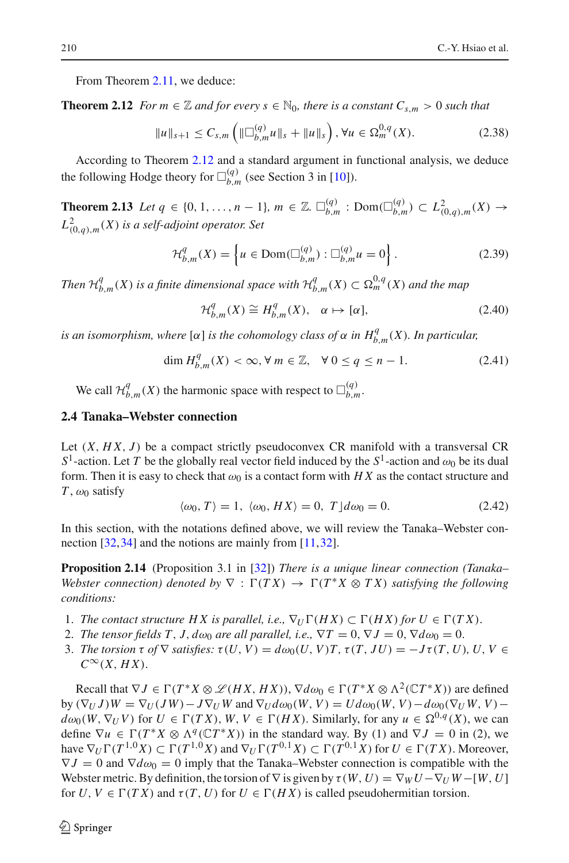<span id="page-9-1"></span>From Theorem [2.11,](#page-8-3) we deduce:

**Theorem 2.12** *For m*  $\in \mathbb{Z}$  *and for every s*  $\in \mathbb{N}_0$ *, there is a constant*  $C_{s,m} > 0$  *such that* 

$$
||u||_{s+1} \leq C_{s,m} \left( ||\Box_{b,m}^{(q)} u||_s + ||u||_s \right), \forall u \in \Omega_m^{0,q}(X). \tag{2.38}
$$

<span id="page-9-4"></span>According to Theorem [2.12](#page-9-1) and a standard argument in functional analysis, we deduce the following Hodge theory for  $\Box_{b,m}^{(q)}$  (see Section 3 in [\[10](#page-20-29)]).

**Theorem 2.13** *Let*  $q \in \{0, 1, ..., n-1\}$ ,  $m \in \mathbb{Z}$ .  $\square_{b,m}^{(q)}$  : Dom( $\square_{b,m}^{(q)}$ ) ⊂  $L_{(0,q),m}^2(X)$  → *L*2 (0,*q*),*m*(*X*) *is a self-adjoint operator. Set*

$$
\mathcal{H}_{b,m}^q(X) = \left\{ u \in \text{Dom}(\Box_{b,m}^{(q)}) : \Box_{b,m}^{(q)} u = 0 \right\}.
$$
 (2.39)

*Then*  $\mathcal{H}_{b,m}^q(X)$  *is a finite dimensional space with*  $\mathcal{H}_{b,m}^q(X) \subset \Omega_m^{0,q}(X)$  *and the map* 

<span id="page-9-3"></span>
$$
\mathcal{H}_{b,m}^q(X) \cong H_{b,m}^q(X), \quad \alpha \mapsto [\alpha], \tag{2.40}
$$

*is an isomorphism, where* [ $\alpha$ ] *is the cohomology class of*  $\alpha$  *in*  $H_{b,m}^q(X)$ *. In particular,* 

$$
\dim H_{b,m}^q(X) < \infty, \forall \, m \in \mathbb{Z}, \quad \forall \, 0 \le q \le n - 1. \tag{2.41}
$$

We call  $\mathcal{H}_{b,m}^q(X)$  the harmonic space with respect to  $\Box_{b,m}^{(q)}$ .

#### <span id="page-9-0"></span>**2.4 Tanaka–Webster connection**

Let (*X*, *H X*, *J* ) be a compact strictly pseudoconvex CR manifold with a transversal CR *S*<sup>1</sup>-action. Let *T* be the globally real vector field induced by the  $S$ <sup>1</sup>-action and  $\omega_0$  be its dual form. Then it is easy to check that  $\omega_0$  is a contact form with *HX* as the contact structure and *T*,  $\omega_0$  satisfy

$$
\langle \omega_0, T \rangle = 1, \ \langle \omega_0, HX \rangle = 0, \ T \rfloor d\omega_0 = 0. \tag{2.42}
$$

<span id="page-9-2"></span>In this section, with the notations defined above, we will review the Tanaka–Webster connection [\[32](#page-21-1)[,34\]](#page-21-2) and the notions are mainly from [\[11](#page-20-30)[,32\]](#page-21-1).

**Proposition 2.14** (Proposition 3.1 in [\[32](#page-21-1)]) *There is a unique linear connection (Tanaka– Webster connection) denoted by*  $\nabla : \Gamma(T X) \to \Gamma(T^* X \otimes T X)$  *satisfying the following conditions:*

- 1. *The contact structure HX is parallel, i.e.,*  $\nabla_U \Gamma(HX) \subset \Gamma(HX)$  *for*  $U \in \Gamma(TX)$ *.*
- 2. *The tensor fields T, J,*  $d\omega_0$  *are all parallel, i.e.,*  $\nabla T = 0$ ,  $\nabla J = 0$ ,  $\nabla d\omega_0 = 0$ .
- 3. *The torsion*  $\tau$  *of*  $\nabla$  *satisfies:*  $\tau(U, V) = d\omega_0(U, V)T$ ,  $\tau(T, JU) = -J\tau(T, U)$ ,  $U, V \in$  $C^{\infty}(X, HX).$

Recall that  $\nabla J \in \Gamma(T^*X \otimes \mathcal{L}(HX, HX))$ ,  $\nabla d\omega_0 \in \Gamma(T^*X \otimes \Lambda^2(\mathbb{C}T^*X))$  are defined  $\partial W(\nabla_U J)W = \nabla_U (JW) - J\nabla_U W$  and  $\nabla_U d\omega_0(W, V) = U d\omega_0(W, V) - d\omega_0(\nabla_U W, V) - d\omega_0(\nabla_U W, V)$  $d\omega_0(W, \nabla_U V)$  for  $U \in \Gamma(TX)$ ,  $W, V \in \Gamma(HX)$ . Similarly, for any  $u \in \Omega^{0,q}(X)$ , we can define  $\nabla u \in \Gamma(T^*X \otimes \Lambda^q(CT^*X))$  in the standard way. By (1) and  $\nabla J = 0$  in (2), we have  $\nabla_U \Gamma(T^{1,0}X) \subset \Gamma(T^{1,0}X)$  and  $\nabla_U \Gamma(T^{0,1}X) \subset \Gamma(T^{0,1}X)$  for  $U \in \Gamma(TX)$ . Moreover,  $\nabla J = 0$  and  $\nabla d\omega_0 = 0$  imply that the Tanaka–Webster connection is compatible with the Webster metric. By definition, the torsion of  $\nabla$  is given by  $\tau(W, U) = \nabla_W U - \nabla_U W - [W, U]$ for  $U, V \in \Gamma(TX)$  and  $\tau(T, U)$  for  $U \in \Gamma(HX)$  is called pseudohermitian torsion.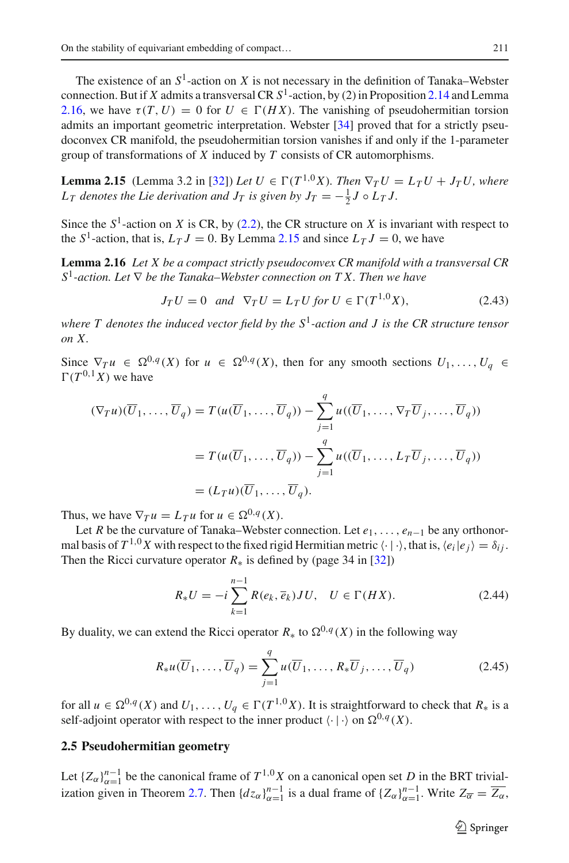The existence of an  $S^1$ -action on X is not necessary in the definition of Tanaka–Webster connection. But if *X* admits a transversal CR  $S<sup>1</sup>$ -action, by (2) in Proposition [2.14](#page-9-2) and Lemma [2.16,](#page-10-1) we have  $\tau(T, U) = 0$  for  $U \in \Gamma(HX)$ . The vanishing of pseudohermitian torsion admits an important geometric interpretation. Webster [\[34](#page-21-2)] proved that for a strictly pseudoconvex CR manifold, the pseudohermitian torsion vanishes if and only if the 1-parameter group of transformations of *X* induced by *T* consists of CR automorphisms.

<span id="page-10-2"></span>**Lemma 2.15** (Lemma 3.2 in [\[32\]](#page-21-1)) *Let*  $U \in \Gamma(T^{1,0}X)$ *. Then*  $\nabla_T U = L_T U + J_T U$ *, where*  $L_T$  *denotes the Lie derivation and*  $J_T$  *is given by*  $J_T = -\frac{1}{2}J \circ L_T J$ *.* 

Since the  $S^1$ -action on *X* is CR, by [\(2.2\)](#page-3-2), the CR structure on *X* is invariant with respect to the  $S^1$ -action, that is,  $L_T J = 0$ . By Lemma [2.15](#page-10-2) and since  $L_T J = 0$ , we have

**Lemma 2.16** *Let X be a compact strictly pseudoconvex CR manifold with a transversal CR <sup>S</sup>*1*-action. Let* <sup>∇</sup> *be the Tanaka–Webster connection on T X. Then we have*

<span id="page-10-1"></span>
$$
J_T U = 0 \quad and \quad \nabla_T U = L_T U \text{ for } U \in \Gamma(T^{1,0} X), \tag{2.43}
$$

*where T denotes the induced vector field by the S*1*-action and J is the CR structure tensor on X.*

Since  $\nabla T u \in \Omega^{0,q}(X)$  for  $u \in \Omega^{0,q}(X)$ , then for any smooth sections  $U_1, \ldots, U_q \in$  $\Gamma(T^{0,1}X)$  we have

$$
(\nabla_T u)(\overline{U}_1, \dots, \overline{U}_q) = T(u(\overline{U}_1, \dots, \overline{U}_q)) - \sum_{j=1}^q u((\overline{U}_1, \dots, \nabla_T \overline{U}_j, \dots, \overline{U}_q))
$$
  
=  $T(u(\overline{U}_1, \dots, \overline{U}_q)) - \sum_{j=1}^q u((\overline{U}_1, \dots, L_T \overline{U}_j, \dots, \overline{U}_q))$   
=  $(L_T u)(\overline{U}_1, \dots, \overline{U}_q).$ 

Thus, we have  $\nabla_T u = L_T u$  for  $u \in \Omega^{0,q}(X)$ .

Let *R* be the curvature of Tanaka–Webster connection. Let *e*1,..., *en*−<sup>1</sup> be any orthonormal basis of  $T^{1,0}X$  with respect to the fixed rigid Hermitian metric  $\langle \cdot | \cdot \rangle$ , that is,  $\langle e_i | e_j \rangle = \delta_{ij}$ . Then the Ricci curvature operator  $R_*$  is defined by (page 34 in [\[32\]](#page-21-1))

<span id="page-10-3"></span>
$$
R_*U = -i\sum_{k=1}^{n-1} R(e_k, \overline{e}_k)JU, \quad U \in \Gamma(HX). \tag{2.44}
$$

By duality, we can extend the Ricci operator  $R_*$  to  $\Omega^{0,q}(X)$  in the following way

<span id="page-10-4"></span>
$$
R_*u(\overline{U}_1,\ldots,\overline{U}_q) = \sum_{j=1}^q u(\overline{U}_1,\ldots,R_*\overline{U}_j,\ldots,\overline{U}_q)
$$
 (2.45)

for all  $u \in \Omega^{0,q}(X)$  and  $U_1, \ldots, U_q \in \Gamma(T^{1,0}X)$ . It is straightforward to check that  $R_*$  is a self-adjoint operator with respect to the inner product  $\langle \cdot | \cdot \rangle$  on  $\Omega^{0,q}(X)$ .

#### <span id="page-10-0"></span>**2.5 Pseudohermitian geometry**

Let  ${Z_\alpha}_{\alpha=1}^{n-1}$  be the canonical frame of  $T^{1,0}X$  on a canonical open set *D* in the BRT trivial-ization given in Theorem [2.7.](#page-6-3) Then  $\{dz_{\alpha}\}_{\alpha=1}^{n-1}$  is a dual frame of  $\{Z_{\alpha}\}_{\alpha=1}^{n-1}$ . Write  $Z_{\overline{\alpha}} = \overline{Z_{\alpha}}$ ,

 $\hat{\mathfrak{D}}$  Springer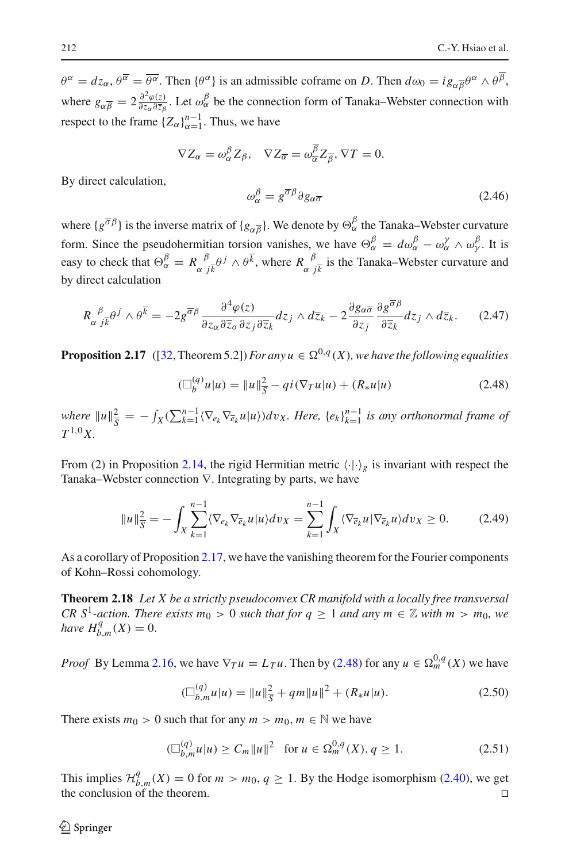$\theta^{\alpha} = dz_{\alpha}, \theta^{\overline{\alpha}} = \overline{\theta^{\alpha}}$ . Then  $\{\theta^{\alpha}\}\$ is an admissible coframe on *D*. Then  $d\omega_0 = ig_{\alpha\overline{\beta}}\theta^{\alpha} \wedge \theta^{\overline{\beta}}$ , where  $g_{\alpha\overline{\beta}} = 2\frac{\partial^2 \varphi(z)}{\partial z_{\alpha}\partial \overline{z}_{\beta}}$ . Let  $\omega_{\alpha}^{\beta}$  be the connection form of Tanaka–Webster connection with respect to the frame  ${Z_\alpha}_{\alpha=1}^{n-1}$ . Thus, we have

$$
\nabla Z_{\alpha} = \omega_{\alpha}^{\beta} Z_{\beta}, \quad \nabla Z_{\overline{\alpha}} = \omega_{\overline{\alpha}}^{\overline{\beta}} Z_{\overline{\beta}}, \nabla T = 0.
$$

By direct calculation,

$$
\omega_{\alpha}^{\beta} = g^{\overline{\sigma}\beta} \partial g_{\alpha\overline{\sigma}}
$$
 (2.46)  
where  $\{g^{\overline{\sigma}\beta}\}$  is the inverse matrix of  $\{g_{\alpha\overline{\beta}}\}$ . We denote by  $\Theta_{\alpha}^{\beta}$  the Tanaka–Webster curvature  
form. Since the pseudohermitian torsion vanishes, we have  $\Theta_{\alpha}^{\beta} = d\omega_{\alpha}^{\beta} - \omega_{\alpha}^{\gamma} \wedge \omega_{\gamma}^{\beta}$ . It is

form. Since the pseudohermitian torsion vanishes, we have  $\Theta_{\alpha}^{\beta}$  $\frac{\beta}{\alpha} = d\omega_{\alpha}^{\beta} - \omega_{\alpha}^{\gamma} \wedge \omega_{\gamma}^{\beta}$ . It is easy to check that  $\Theta_{\alpha}^{\beta} = R_{\alpha}^{\beta}{}_{j\bar{k}}^{\beta} \phi^{j} \wedge \theta^{\bar{k}}$ , where  $R_{\alpha}^{\beta}{}_{j\bar{k}}^{\beta}$  is the Tanaka–Webster curvature and by direct calculation

$$
R_{\alpha}{}^{\beta}{}_{j\overline{k}}\theta^{j} \wedge \theta^{\overline{k}} = -2g^{\overline{\sigma}\beta} \frac{\partial^{4}\varphi(z)}{\partial z_{\alpha}\partial \overline{z}_{\sigma}\partial z_{j}\partial \overline{z}_{k}} dz_{j} \wedge d\overline{z}_{k} - 2\frac{\partial g_{\alpha\overline{\sigma}}}{\partial z_{j}} \frac{\partial g^{\overline{\sigma}\beta}}{\partial \overline{z}_{k}} dz_{j} \wedge d\overline{z}_{k}.
$$
 (2.47)

<span id="page-11-0"></span>**Proposition 2.17** ([\[32,](#page-21-1) Theorem 5.2]) *For any*  $u \in \Omega^{0,q}(X)$ *, we have the following equalities* 

<span id="page-11-1"></span>
$$
(\Box_b^{(q)} u | u) = ||u||_{\overline{S}}^2 - qi(\nabla_T u | u) + (R_* u | u)
$$
\n(2.48)

 $where$   $||u||_{\overline{S}}^2 = -\int_X (\sum_{k=1}^{n-1} \langle \nabla_{e_k} \nabla_{\overline{e}_k} u | u \rangle) dv_X$ . Here,  $\{e_k\}_{k=1}^{n-1}$  *is any orthonormal frame of T* <sup>1</sup>,0*X.*

From (2) in Proposition [2.14,](#page-9-2) the rigid Hermitian metric  $\langle \cdot | \cdot \rangle_g$  is invariant with respect the Tanaka–Webster connection ∇. Integrating by parts, we have

$$
||u||_{\overline{S}}^2 = -\int_X \sum_{k=1}^{n-1} \langle \nabla_{e_k} \nabla_{\overline{e}_k} u | u \rangle dv_X = \sum_{k=1}^{n-1} \int_X \langle \nabla_{\overline{e}_k} u | \nabla_{\overline{e}_k} u \rangle dv_X \ge 0.
$$
 (2.49)

As a corollary of Proposition [2.17,](#page-11-0) we have the vanishing theorem for the Fourier components of Kohn–Rossi cohomology.

**Theorem 2.18** *Let X be a strictly pseudoconvex CR manifold with a locally free transversal CR* S<sup>1</sup>-action. There exists  $m_0 > 0$  such that for  $q \ge 1$  and any  $m \in \mathbb{Z}$  with  $m > m_0$ , we *have*  $H_{b,m}^q(X) = 0$ .

*Proof* By Lemma [2.16,](#page-10-1) we have  $\nabla_T u = L_T u$ . Then by [\(2.48\)](#page-11-1) for any  $u \in \Omega_m^{0,q}(X)$  we have

<span id="page-11-2"></span>
$$
(\Box_{b,m}^{(q)} u | u) = ||u||_S^2 + qm||u||^2 + (R_* u | u).
$$
 (2.50)

There exists  $m_0 > 0$  such that for any  $m > m_0$ ,  $m \in \mathbb{N}$  we have

$$
(\Box_{b,m}^{(q)} u | u) \ge C_m \| u \|^2 \quad \text{for } u \in \Omega_m^{0,q}(X), q \ge 1. \tag{2.51}
$$

This implies  $\mathcal{H}_{b,m}^q(X) = 0$  for  $m > m_0, q \ge 1$ . By the Hodge isomorphism [\(2.40\)](#page-9-3), we get the conclusion of the theorem.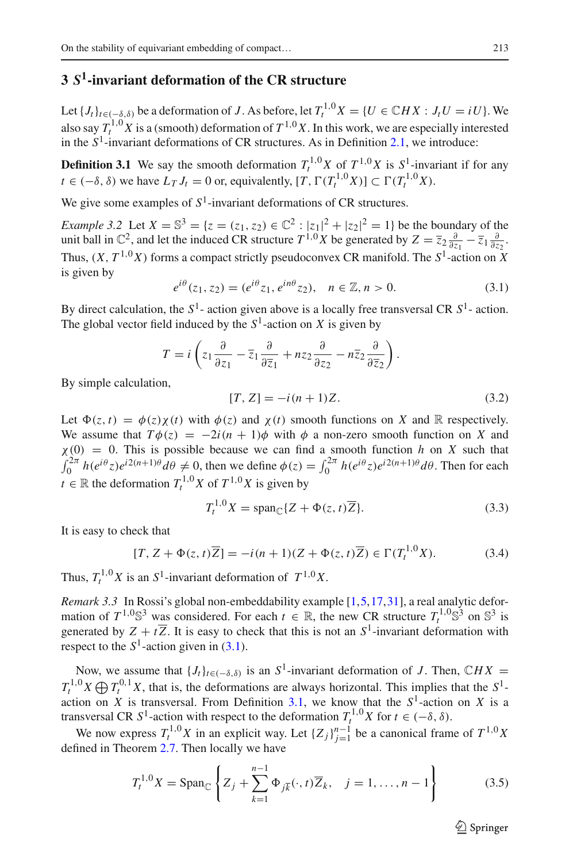## <span id="page-12-0"></span>**3** *S***1-invariant deformation of the CR structure**

Let  $\{J_t\}_{t\in(-\delta,\delta)}$  be a deformation of *J*. As before, let  $T_t^{1,0}X = \{U \in \mathbb{C}HX : J_tU = iU\}$ . We also say  $T_t^{1,0}$  *X* is a (smooth) deformation of  $T^{1,0}$  *X*. In this work, we are especially interested in the  $S<sup>1</sup>$ -invariant deformations of CR structures. As in Definition [2.1,](#page-4-0) we introduce:

**Definition 3.1** We say the smooth deformation  $T_t^{1,0}X$  of  $T^{1,0}X$  is  $S^1$ -invariant if for any  $t \in (-\delta, \delta)$  we have  $L_T J_t = 0$  or, equivalently,  $[T, \Gamma(T_t^{1,0} X)] \subset \Gamma(T_t^{1,0} X)$ .

We give some examples of  $S<sup>1</sup>$ -invariant deformations of CR structures.

*Example 3.2* Let  $X = \mathbb{S}^3 = \{z = (z_1, z_2) \in \mathbb{C}^2 : |z_1|^2 + |z_2|^2 = 1\}$  be the boundary of the unit ball in  $\mathbb{C}^2$ , and let the induced CR structure  $T^{1,0}X$  be generated by  $Z = \overline{z}_2 \frac{\partial}{\partial z_1} - \overline{z}_1 \frac{\partial}{\partial z_2}$ . Thus,  $(X, T^{1,0}X)$  forms a compact strictly pseudoconvex CR manifold. The  $S^1$ -action on X is given by

<span id="page-12-2"></span><span id="page-12-1"></span> $e^{i\theta}(z_1, z_2) = (e^{i\theta}z_1, e^{in\theta}z_2), \quad n \in \mathbb{Z}, n > 0.$  (3.1)

By direct calculation, the  $S^1$ - action given above is a locally free transversal CR  $S^1$ - action. The global vector field induced by the  $S^1$ -action on *X* is given by

$$
T = i \left( z_1 \frac{\partial}{\partial z_1} - \overline{z}_1 \frac{\partial}{\partial \overline{z}_1} + nz_2 \frac{\partial}{\partial z_2} - n \overline{z}_2 \frac{\partial}{\partial \overline{z}_2} \right).
$$

By simple calculation,

$$
[T, Z] = -i(n+1)Z.
$$
 (3.2)

Let  $\Phi(z, t) = \phi(z) \chi(t)$  with  $\phi(z)$  and  $\chi(t)$  smooth functions on *X* and R respectively. We assume that  $T\phi(z) = -2i(n + 1)\phi$  with  $\phi$  a non-zero smooth function on *X* and  $\chi$ (0) = 0. This is possible because we can find a smooth function *h* on *X* such that  $\int_0^{2\pi} h(e^{i\theta}z)e^{i2(n+1)\theta}d\theta \neq 0$ , then we define  $\phi(z) = \int_0^{2\pi} h(e^{i\theta}z)e^{i2(n+1)\theta}d\theta$ . Then for each *t* ∈ R the deformation  $T_t^{1,0}$ *X* of  $T^{1,0}$ *X* is given by

$$
T_t^{1,0}X = \text{span}_{\mathbb{C}}\{Z + \Phi(z, t)\overline{Z}\}.
$$
 (3.3)

It is easy to check that

$$
[T, Z + \Phi(z, t)\overline{Z}] = -i(n+1)(Z + \Phi(z, t)\overline{Z}) \in \Gamma(T_t^{1,0}X). \tag{3.4}
$$

Thus,  $T_t^{1,0}X$  is an  $S^1$ -invariant deformation of  $T^{1,0}X$ .

*Remark 3.3* In Rossi's global non-embeddability example [\[1,](#page-20-5)[5](#page-20-6),[17](#page-20-7)[,31\]](#page-20-8), a real analytic deformation of  $T^{1,0}\mathbb{S}^3$  was considered. For each  $t \in \mathbb{R}$ , the new CR structure  $T_t^{1,0}\mathbb{S}^3$  on  $\mathbb{S}^3$  is generated by  $Z + t\overline{Z}$ . It is easy to check that this is not an  $S^1$ -invariant deformation with respect to the  $S^1$ -action given in [\(3.1\)](#page-12-1).

Now, we assume that  ${J_t}_{t \in (-\delta,\delta)}$  is an  $S^1$ -invariant deformation of *J*. Then,  $\mathbb{C}HX =$  $T_t^{1,0}X \bigoplus T_t^{0,1}X$ , that is, the deformations are always horizontal. This implies that the *S*<sup>1</sup>action on *X* is transversal. From Definition [3.1,](#page-12-2) we know that the  $S<sup>1</sup>$ -action on *X* is a transversal CR *S*<sup>1</sup>-action with respect to the deformation  $T_t^{1,0}X$  for  $t \in (-\delta, \delta)$ .

We now express  $T_t^{1,0}X$  in an explicit way. Let  ${Z_j}_{j=1}^{n-1}$  be a canonical frame of  $T^{1,0}X$ defined in Theorem [2.7.](#page-6-3) Then locally we have

<span id="page-12-3"></span>
$$
T_t^{1,0}X = \text{Span}_{\mathbb{C}}\left\{ Z_j + \sum_{k=1}^{n-1} \Phi_{j\overline{k}}(\cdot, t) \overline{Z}_k, \quad j = 1, \dots, n-1 \right\}
$$
(3.5)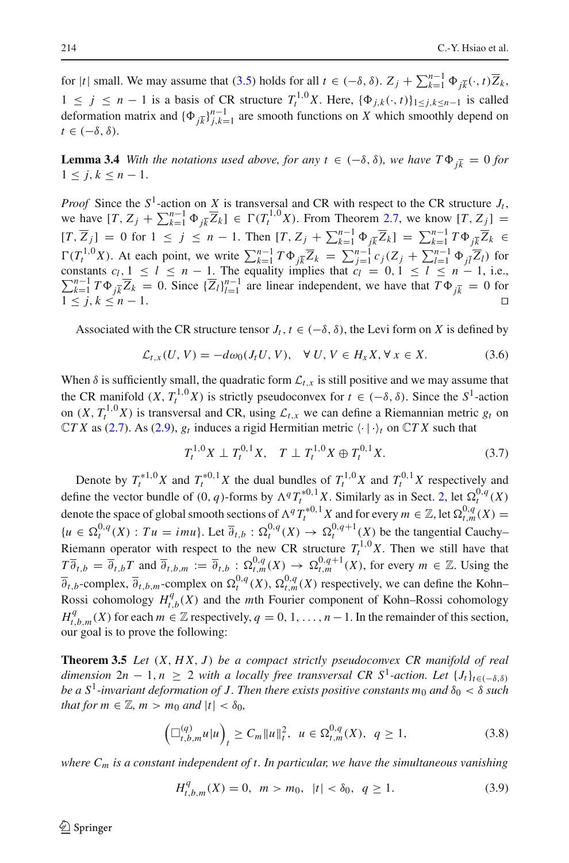for  $|t|$  small. We may assume that [\(3.5\)](#page-12-3) holds for all  $t \in (-\delta, \delta)$ .  $Z_j + \sum_{k=1}^{n-1} \Phi_{j\overline{k}}(\cdot, t) \overline{Z}_k$ , 1 ≤ *j* ≤ *n* − 1 is a basis of CR structure  $T_t^{1,0}X$ . Here,  ${\{\Phi_{j,k}(\cdot,t)\}}_{1\leq j,k \leq n-1}$  is called deformation matrix and  $\{\Phi_{j\overline{k}}\}_{j,k=1}^{n-1}$  are smooth functions on *X* which smoothly depend on  $t \in (-\delta, \delta).$ 

**Lemma 3.4** *With the notations used above, for any t*  $\in (-\delta, \delta)$ *, we have*  $T\Phi_{i\overline{k}} = 0$  *for*  $1 \leq j, k \leq n-1.$ 

*Proof* Since the  $S^1$ -action on *X* is transversal and CR with respect to the CR structure  $J_t$ , we have  $[T, Z_j + \sum_{k=1}^{n-1} \Phi_{j\bar{k}} \overline{Z}_k] \in \Gamma(T_t^{1,0} X)$ . From Theorem [2.7,](#page-6-3) we know  $[T, Z_j] =$  $[T, \overline{Z}_j] = 0$  for  $1 \le j \le n - 1$ . Then  $[T, Z_j + \sum_{k=1}^{n-1} \Phi_{j\overline{k}} \overline{Z}_k] = \sum_{k=1}^{n-1} T \Phi_{j\overline{k}} \overline{Z}_k$  ∈  $\Gamma(T_t^{1,0}X)$ . At each point, we write  $\sum_{k=1}^{n-1} T \Phi_{j\overline{k}} \overline{Z}_k = \sum_{j=1}^{n-1} c_j (Z_j + \sum_{l=1}^{n-1} \Phi_{j\overline{l}} \overline{Z}_l)$  for constants  $c_l, 1 \le l \le n-1$ . The equality implies that  $c_l = 0, 1 \le l \le n-1$ , i.e.,  $\sum_{k=1}^{n-1} T \Phi_{j\$  $1 \le j, k \le n - 1.$ 

Associated with the CR structure tensor  $J_t$ ,  $t \in (-\delta, \delta)$ , the Levi form on *X* is defined by

$$
\mathcal{L}_{t,x}(U,V) = -d\omega_0(J_tU,V), \quad \forall \ U, V \in H_xX, \forall \ x \in X. \tag{3.6}
$$

When  $\delta$  is sufficiently small, the quadratic form  $\mathcal{L}_{t,x}$  is still positive and we may assume that the CR manifold  $(X, T_t^{1,0}X)$  is strictly pseudoconvex for  $t \in (-\delta, \delta)$ . Since the  $S^1$ -action on  $(X, T_t^{1,0}X)$  is transversal and CR, using  $\mathcal{L}_{t,x}$  we can define a Riemannian metric  $g_t$  on  $\mathbb{C}TX$  as [\(2.7\)](#page-4-3). As [\(2.9\)](#page-5-4),  $g_t$  induces a rigid Hermitian metric  $\langle \cdot | \cdot \rangle_t$  on  $\mathbb{C}TX$  such that

$$
T_t^{1,0}X \perp T_t^{0,1}X, \quad T \perp T_t^{1,0}X \oplus T_t^{0,1}X. \tag{3.7}
$$

Denote by  $T_t^{*1,0}X$  and  $T_t^{*0,1}X$  the dual bundles of  $T_t^{1,0}X$  and  $T_t^{0,1}X$  respectively and define the vector bundle of  $(0, q)$ -forms by  $\Lambda^q T_t^{*0,1} X$ . Similarly as in Sect. [2,](#page-3-0) let  $\Omega_t^{0,q}(X)$ denote the space of global smooth sections of  $\Lambda^q T_t^{*0,1} X$  and for every  $m \in \mathbb{Z}$ , let  $\Omega_{t,m}^{0,q}(X) =$  ${u \in \Omega_t^{0,q}(X) : Tu = imu}.$  Let  $\overline{\partial}_{t,b} : \Omega_t^{0,q}(X) \to \Omega_t^{0,q+1}(X)$  be the tangential Cauchy– Riemann operator with respect to the new CR structure  $T_t^{1,0}X$ . Then we still have that  $T\overline{\partial}_{t,b} = \overline{\partial}_{t,b}T$  and  $\overline{\partial}_{t,b,m} := \overline{\partial}_{t,b} : \Omega_{t,m}^{0,q}(X) \to \Omega_{t,m}^{0,q+1}(X)$ , for every  $m \in \mathbb{Z}$ . Using the  $\overline{\partial}_{t,b}$ -complex,  $\overline{\partial}_{t,b,m}$ -complex on  $\Omega_t^{0,q}(X)$ ,  $\Omega_{t,m}^{0,q}(X)$  respectively, we can define the Kohn– Rossi cohomology  $H_{t,b}^q(X)$  and the *m*th Fourier component of Kohn–Rossi cohomology  $H^q_{t,b,m}(X)$  for each  $m \in \mathbb{Z}$  respectively,  $q = 0, 1, \ldots, n-1$ . In the remainder of this section, our goal is to prove the following:

<span id="page-13-0"></span>**Theorem 3.5** *Let* (*X*, *H X*, *J* ) *be a compact strictly pseudoconvex CR manifold of real dimension*  $2n - 1$ ,  $n \geq 2$  *with a locally free transversal CR S<sup>1</sup>-action. Let*  $\{J_t\}_{t \in (-\delta,\delta)}$ *be a*  $S^1$ -invariant deformation of J. Then there exists positive constants  $m_0$  and  $\delta_0 < \delta$  such *that for*  $m \in \mathbb{Z}$ *,*  $m > m_0$  *<i>and*  $|t| < \delta_0$ ,

$$
\left(\Box_{t,b,m}^{(q)}u|u\right)_t \ge C_m \|u\|_t^2, \ \ u \in \Omega_{t,m}^{0,q}(X), \ q \ge 1,\tag{3.8}
$$

*where Cm is a constant independent of t. In particular, we have the simultaneous vanishing*

$$
H_{t,b,m}^q(X) = 0, \ \ m > m_0, \ \ |t| < \delta_0, \ \ q \ge 1. \tag{3.9}
$$

 $\mathcal{L}$  Springer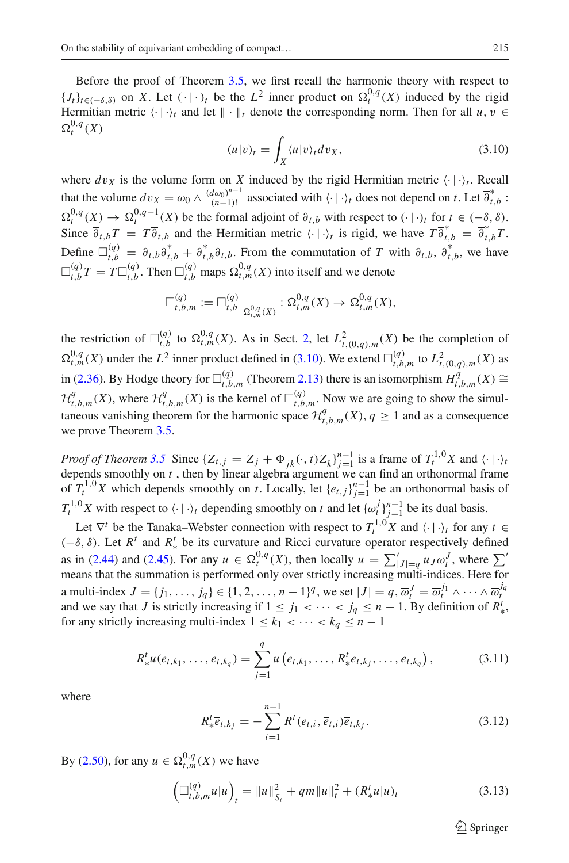Before the proof of Theorem [3.5,](#page-13-0) we first recall the harmonic theory with respect to *{Jt*}*t*∈(−δ,δ) on *X*. Let  $(·)$ *t*</sup> be the *L*<sup>2</sup> inner product on  $\Omega_t^{0,q}(X)$  induced by the rigid Hermitian metric  $\langle \cdot | \cdot \rangle_t$  and let  $\| \cdot \|_t$  denote the corresponding norm. Then for all *u*, *v* ∈  $\Omega_t^{0,q}(X)$ 

<span id="page-14-0"></span>
$$
(u|v)_t = \int_X \langle u|v \rangle_t dv_X, \tag{3.10}
$$

where  $dv_X$  is the volume form on *X* induced by the rigid Hermitian metric  $\langle \cdot | \cdot \rangle_t$ . Recall that the volume  $dv_X = \omega_0 \wedge \frac{(d\omega_0)^{n-1}}{(n-1)!}$  associated with  $\langle \cdot | \cdot \rangle_t$  does not depend on *t*. Let  $\overline{\partial}_{t,b}^*$ :  $\Omega_t^{0,q}(X) \to \Omega_t^{0,q-1}(X)$  be the formal adjoint of  $\overline{\partial}_{t,b}$  with respect to  $(\cdot | \cdot)_t$  for  $t \in (-\delta, \delta)$ . Since  $\overline{\partial}_{t,b}T = T \overline{\partial}_{t,b}$  and the Hermitian metric  $\langle \cdot | \cdot \rangle_t$  is rigid, we have  $T \overline{\partial}_{t,b}^* = \overline{\partial}_{t,b}^* T$ . Define  $\Box_{t,b}^{(q)} = \overline{\partial}_{t,b}\overline{\partial}_{t,b}^* + \overline{\partial}_{t,b}^*\overline{\partial}_{t,b}$ . From the commutation of *T* with  $\overline{\partial}_{t,b}$ ,  $\overline{\partial}_{t,b}^*$ , we have  $\Box_{t,b}^{(q)}T = T \Box_{t,b}^{(q)}$ . Then  $\Box_{t,b}^{(q)}$  maps  $\Omega_{t,m}^{0,q}(X)$  into itself and we denote

$$
\Box_{t,b,m}^{(q)} := \Box_{t,b}^{(q)}\Big|_{\Omega_{t,m}^{0,q}(X)} : \Omega_{t,m}^{0,q}(X) \to \Omega_{t,m}^{0,q}(X),
$$

the restriction of  $\Box_{t,b}^{(q)}$  to  $\Omega_{t,m}^{0,q}(X)$ . As in Sect. [2,](#page-3-0) let  $L^2_{t,(0,q),m}(X)$  be the completion of  $\Omega_{t,m}^{0,q}(X)$  under the  $L^2$  inner product defined in [\(3.10\)](#page-14-0). We extend  $\Box_{t,b,m}^{(q)}$  to  $L^2_{t,(0,q),m}(X)$  as in [\(2.36\)](#page-8-4). By Hodge theory for  $\Box_{t,b,m}^{(q)}$  (Theorem [2.13\)](#page-9-4) there is an isomorphism  $H_{t,b,m}^q(X)$  ≅  $\mathcal{H}_{t,b,m}^q(X)$ , where  $\mathcal{H}_{t,b,m}^q(X)$  is the kernel of  $\Box_{t,b,m}^{(q)}$ . Now we are going to show the simultaneous vanishing theorem for the harmonic space  $\mathcal{H}_{t,b,m}^q(X)$ ,  $q \ge 1$  and as a consequence we prove Theorem [3.5.](#page-13-0)

*Proof of Theorem* [3.5](#page-13-0) Since  $\{Z_{t,j} = Z_j + \Phi_{j\bar{k}}(\cdot, t) Z_{\bar{k}}\}_{j=1}^{n-1}$  is a frame of  $T_t^{1,0}X$  and  $\langle \cdot | \cdot \rangle_t$ depends smoothly on  $t$ , then by linear algebra argument we can find an orthonormal frame of  $T_t^{1,0}X$  which depends smoothly on *t*. Locally, let  $\{e_{t,j}\}_{j=1}^{n-1}$  be an orthonormal basis of  $T_t^{1,0}X$  with respect to  $\langle \cdot | \cdot \rangle_t$  depending smoothly on *t* and let  $\{\omega_t^j\}_{j=1}^{n-1}$  be its dual basis.

Let  $\nabla^t$  be the Tanaka–Webster connection with respect to  $T_t^{1,0}$  *X* and  $\langle \cdot | \cdot \rangle_t$  for any  $t \in$ (−δ, δ). Let *R<sup>t</sup>* and *R*<sup>*t*</sup><sub>\*</sub> be its curvature and Ricci curvature operator respectively defined as in [\(2.44\)](#page-10-3) and [\(2.45\)](#page-10-4). For any  $u \in \Omega_t^{0,q}(X)$ , then locally  $u = \sum_{|J| = q}^{\prime} u_J \overline{\omega}_t^J$ , where  $\sum_{\zeta}^{\zeta} u_J \overline{\omega}_t^J$ means that the summation is performed only over strictly increasing multi-indices. Here for a multi-index  $J = \{j_1, \ldots, j_q\} \in \{1, 2, \ldots, n-1\}^q$ , we set  $|J| = q$ ,  $\overline{\omega}_t^J = \overline{\omega}_t^{j_1} \wedge \cdots \wedge \overline{\omega}_t^{j_q}$ and we say that *J* is strictly increasing if  $1 \le j_1 < \cdots < j_q \le n - 1$ . By definition of  $R^t_*$ , for any strictly increasing multi-index  $1 \le k_1 < \cdots < k_q \le n-1$ 

$$
R_{*}^{t}u(\overline{e}_{t,k_{1}},\ldots,\overline{e}_{t,k_{q}})=\sum_{j=1}^{q}u\left(\overline{e}_{t,k_{1}},\ldots,R_{*}^{t}\overline{e}_{t,k_{j}},\ldots,\overline{e}_{t,k_{q}}\right),
$$
\n(3.11)

where

$$
R_{*}^{t}\overline{e}_{t,k_{j}} = -\sum_{i=1}^{n-1} R^{t}(e_{t,i}, \overline{e}_{t,i})\overline{e}_{t,k_{j}}.
$$
\n(3.12)

By [\(2.50\)](#page-11-2), for any  $u \in \Omega_{t,m}^{0,q}(X)$  we have

<span id="page-14-1"></span>
$$
\left(\Box_{t,b,m}^{(q)}u|u\right)_t = \|u\|_{\overline{S}_t}^2 + qm\|u\|_t^2 + (R_*^t u|u)_t\right)
$$
\n(3.13)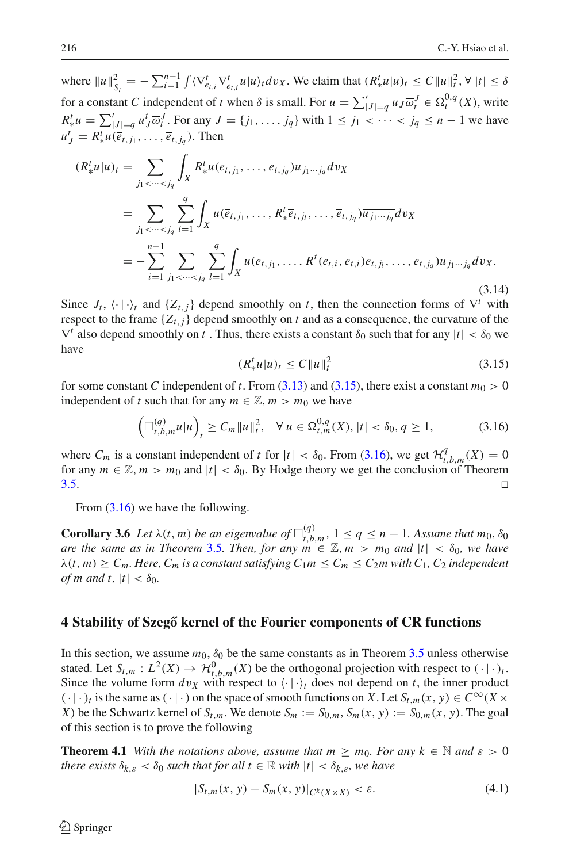where  $||u||_{\overline{S}_t}^2 = -\sum_{i=1}^{n-1} \int \langle \nabla_{e_{t,i}}^t \nabla_{\overline{e}_{t,i}}^t u | u \rangle_t dv_X$ . We claim that  $(R_x^t u | u)_t \le C ||u||_t^2$ ,  $\forall |t| \le \delta$ for a constant *C* independent of *t* when  $\delta$  is small. For  $u = \sum_{|J|=q}^{'} u_J \overline{\omega}_t^J \in \Omega_t^{0,q}(X)$ , write  $R^t_* u = \sum'_{|J|=q} u^t_J \overline{\omega}^J_t$ . For any  $J = \{j_1, \ldots, j_q\}$  with  $1 \le j_1 < \cdots < j_q \le n - 1$  we have  $u_j^t = R_*^t u(\overline{e}_{t,j_1}, \ldots, \overline{e}_{t,j_q})$ . Then

$$
(R_{*}^{t}u|u)_{t} = \sum_{j_{1} < \dots < j_{q}} \int_{X} R_{*}^{t}u(\overline{e}_{t,j_{1}}, \dots, \overline{e}_{t,j_{q}}) \overline{u_{j_{1} \dots j_{q}}} dv_{X}
$$
  
\n
$$
= \sum_{j_{1} < \dots < j_{q}} \sum_{l=1}^{q} \int_{X} u(\overline{e}_{t,j_{1}}, \dots, R_{*}^{t} \overline{e}_{t,j_{l}}, \dots, \overline{e}_{t,j_{q}}) \overline{u_{j_{1} \dots j_{q}}} dv_{X}
$$
  
\n
$$
= -\sum_{i=1}^{n-1} \sum_{j_{1} < \dots < j_{q}} \sum_{l=1}^{q} \int_{X} u(\overline{e}_{t,j_{1}}, \dots, R^{t}(e_{t,i}, \overline{e}_{t,i}) \overline{e}_{t,j_{l}}, \dots, \overline{e}_{t,j_{q}}) \overline{u_{j_{1} \dots j_{q}}} dv_{X}.
$$
\n(3.14)

Since  $J_t$ ,  $\langle \cdot | \cdot \rangle_t$  and  $\{Z_{t,i}\}$  depend smoothly on *t*, then the connection forms of  $\nabla^t$  with respect to the frame  $\{Z_{t,j}\}$  depend smoothly on *t* and as a consequence, the curvature of the  $\nabla^t$  also depend smoothly on *t*. Thus, there exists a constant  $\delta_0$  such that for any  $|t| < \delta_0$  we have

<span id="page-15-1"></span>
$$
(R_*^t u | u)_t \le C \| u \|_t^2 \tag{3.15}
$$

for some constant *C* independent of *t*. From [\(3.13\)](#page-14-1) and [\(3.15\)](#page-15-1), there exist a constant  $m_0 > 0$ independent of *t* such that for any  $m \in \mathbb{Z}$ ,  $m > m_0$  we have

<span id="page-15-2"></span>
$$
\left(\Box_{t,b,m}^{(q)}u|u\right)_t \ge C_m \|u\|_t^2, \quad \forall \ u \in \Omega_{t,m}^{0,q}(X), |t| < \delta_0, q \ge 1,\tag{3.16}
$$

where  $C_m$  is a constant independent of *t* for  $|t| < \delta_0$ . From [\(3.16\)](#page-15-2), we get  $\mathcal{H}_{t,b,m}^q(X) = 0$ for any  $m \in \mathbb{Z}$ ,  $m > m_0$  and  $|t| < \delta_0$ . By Hodge theory we get the conclusion of Theorem 3.5.  $3.5.$ 

<span id="page-15-3"></span>From  $(3.16)$  we have the following.

**Corollary 3.6** *Let*  $\lambda(t, m)$  *be an eigenvalue of*  $\Box_{t, b, m}^{(q)}$ ,  $1 \leq q \leq n - 1$ *. Assume that*  $m_0, \delta_0$ *are the same as in Theorem* [3.5](#page-13-0)*. Then, for any*  $m \in \mathbb{Z}, m > m_0$  *and*  $|t| < \delta_0$ *, we have*  $\lambda(t, m) \geq C_m$ . Here,  $C_m$  *is a constant satisfying*  $C_1 m \leq C_m \leq C_2 m$  with  $C_1$ ,  $C_2$  *independent of m and t,*  $|t| < \delta_0$ .

#### <span id="page-15-0"></span>**4 Stability of Szegő kernel of the Fourier components of CR functions**

In this section, we assume  $m_0$ ,  $\delta_0$  be the same constants as in Theorem [3.5](#page-13-0) unless otherwise stated. Let  $S_{t,m}: L^2(X) \to \mathcal{H}_{t,b,m}^0(X)$  be the orthogonal projection with respect to  $(\cdot | \cdot)_t$ . Since the volume form  $dv_X$  with respect to  $\langle \cdot | \cdot \rangle_t$  does not depend on *t*, the inner product  $(\cdot|\cdot)_t$  is the same as  $(\cdot|\cdot)$  on the space of smooth functions on *X*. Let  $S_{t,m}(x, y) \in C^\infty(X \times$ *X*) be the Schwartz kernel of  $S_{t,m}$ . We denote  $S_m := S_{0,m}, S_m(x, y) := S_{0,m}(x, y)$ . The goal of this section is to prove the following

<span id="page-15-4"></span>**Theorem 4.1** *With the notations above, assume that m*  $\geq m_0$ *. For any*  $k \in \mathbb{N}$  *and*  $\varepsilon > 0$ *there exists*  $\delta_{k,\varepsilon} < \delta_0$  *such that for all t*  $\in \mathbb{R}$  *with*  $|t| < \delta_{k,\varepsilon}$ *, we have* 

$$
|S_{t,m}(x, y) - S_m(x, y)|_{C^k(X \times X)} < \varepsilon. \tag{4.1}
$$

 $\mathcal{L}$  Springer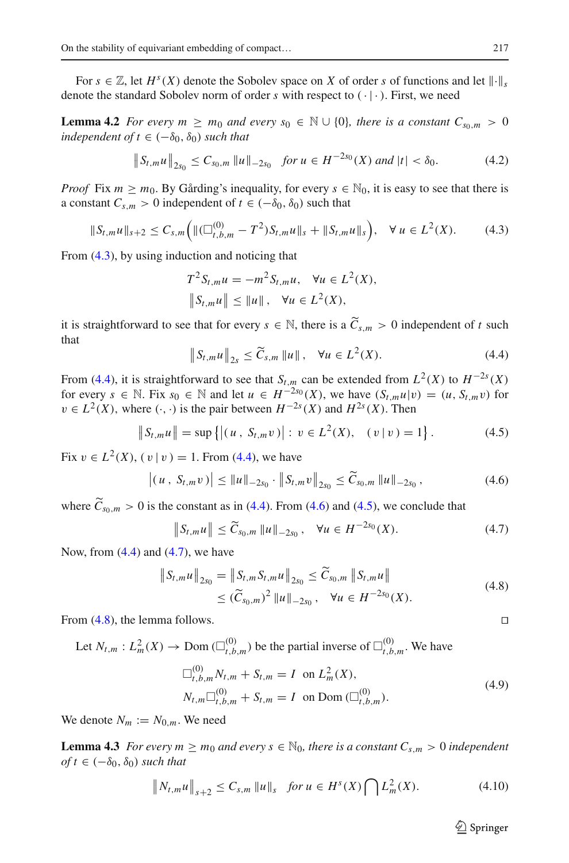<span id="page-16-8"></span>For  $s \in \mathbb{Z}$ , let  $H^s(X)$  denote the Sobolev space on X of order *s* of functions and let  $\|\cdot\|$ . denote the standard Sobolev norm of order  $s$  with respect to  $(·)$ . First, we need

**Lemma 4.2** *For every m*  $\geq m_0$  *and every*  $s_0 \in \mathbb{N} \cup \{0\}$ *, there is a constant*  $C_{s_0,m} > 0$ *independent of*  $t \in (-\delta_0, \delta_0)$  *such that* 

$$
\|S_{t,m}u\|_{2s_0} \leq C_{s_0,m} \|u\|_{-2s_0} \quad \text{for } u \in H^{-2s_0}(X) \text{ and } |t| < \delta_0. \tag{4.2}
$$

*Proof* Fix  $m \geq m_0$ . By Gårding's inequality, for every  $s \in \mathbb{N}_0$ , it is easy to see that there is a constant  $C_{s,m} > 0$  independent of  $t \in (-\delta_0, \delta_0)$  such that

<span id="page-16-0"></span>
$$
\|S_{t,m}u\|_{s+2} \leq C_{s,m}\Big(\|(\Box_{t,b,m}^{(0)}-T^2)S_{t,m}u\|_{s}+\|S_{t,m}u\|_{s}\Big), \quad \forall \ u \in L^2(X). \tag{4.3}
$$

From [\(4.3\)](#page-16-0), by using induction and noticing that

$$
T^{2}S_{t,m}u = -m^{2}S_{t,m}u, \quad \forall u \in L^{2}(X),
$$
  

$$
\|S_{t,m}u\| \le \|u\|, \quad \forall u \in L^{2}(X),
$$

it is straightforward to see that for every  $s \in \mathbb{N}$ , there is a  $\widetilde{C}_{s,m} > 0$  independent of *t* such that

<span id="page-16-1"></span>
$$
\|S_{t,m}u\|_{2s} \le \widetilde{C}_{s,m} \|u\| \,, \quad \forall u \in L^2(X). \tag{4.4}
$$

From [\(4.4\)](#page-16-1), it is straightforward to see that  $S_{t,m}$  can be extended from  $L^2(X)$  to  $H^{-2s}(X)$ for every  $s \in \mathbb{N}$ . Fix  $s_0 \in \mathbb{N}$  and let  $u \in H^{-2s_0}(X)$ , we have  $(S_{t,m}u|v) = (u, S_{t,m}v)$  for  $v \in L^2(X)$ , where  $(\cdot, \cdot)$  is the pair between  $H^{-2s}(X)$  and  $H^{2s}(X)$ . Then

<span id="page-16-3"></span>
$$
||S_{t,m}u|| = \sup\{|(u, S_{t,m}v)| : v \in L^2(X), (v|v) = 1\}.
$$
 (4.5)

Fix  $v \in L^2(X)$ ,  $(v | v) = 1$ . From [\(4.4\)](#page-16-1), we have

<span id="page-16-2"></span>
$$
\left| (u, S_{t,m}v) \right| \leq \|u\|_{-2s_0} \cdot \|S_{t,m}v\|_{2s_0} \leq \widetilde{C}_{s_0,m} \|u\|_{-2s_0}, \qquad (4.6)
$$

where  $C_{s_0,m} > 0$  is the constant as in [\(4.4\)](#page-16-1). From [\(4.6\)](#page-16-2) and [\(4.5\)](#page-16-3), we conclude that

<span id="page-16-4"></span>
$$
\|S_{t,m}u\| \le \widetilde{C}_{s_0,m} \|u\|_{-2s_0}, \quad \forall u \in H^{-2s_0}(X). \tag{4.7}
$$

Now, from  $(4.4)$  and  $(4.7)$ , we have

<span id="page-16-5"></span>
$$
\|S_{t,m}u\|_{2s_0} = \|S_{t,m}S_{t,m}u\|_{2s_0} \le \widetilde{C}_{s_0,m} \|S_{t,m}u\|
$$
  
\n
$$
\le (\widetilde{C}_{s_0,m})^2 \|u\|_{-2s_0}, \quad \forall u \in H^{-2s_0}(X).
$$
\n(4.8)

From  $(4.8)$ , the lemma follows.

Let  $N_{t,m}: L^2_m(X) \to \text{Dom}(\Box_{t,b,m}^{(0)})$  be the partial inverse of  $\Box_{t,b,m}^{(0)}$ . We have

<span id="page-16-7"></span>
$$
\Box_{t,b,m}^{(0)} N_{t,m} + S_{t,m} = I \text{ on } L_m^2(X),
$$
  
\n
$$
N_{t,m} \Box_{t,b,m}^{(0)} + S_{t,m} = I \text{ on Dom } (\Box_{t,b,m}^{(0)}).
$$
\n(4.9)

We denote  $N_m := N_{0,m}$ . We need

**Lemma 4.3** *For every m*  $\geq m_0$  *and every s*  $\in$  N<sub>0</sub>*, there is a constant*  $C_{s,m} > 0$  *independent*  $of t \in (-\delta_0, \delta_0)$  *such that* 

<span id="page-16-6"></span>
$$
\|N_{t,m}u\|_{s+2} \leq C_{s,m} \|u\|_{s} \quad \text{for } u \in H^s(X) \bigcap L^2_m(X). \tag{4.10}
$$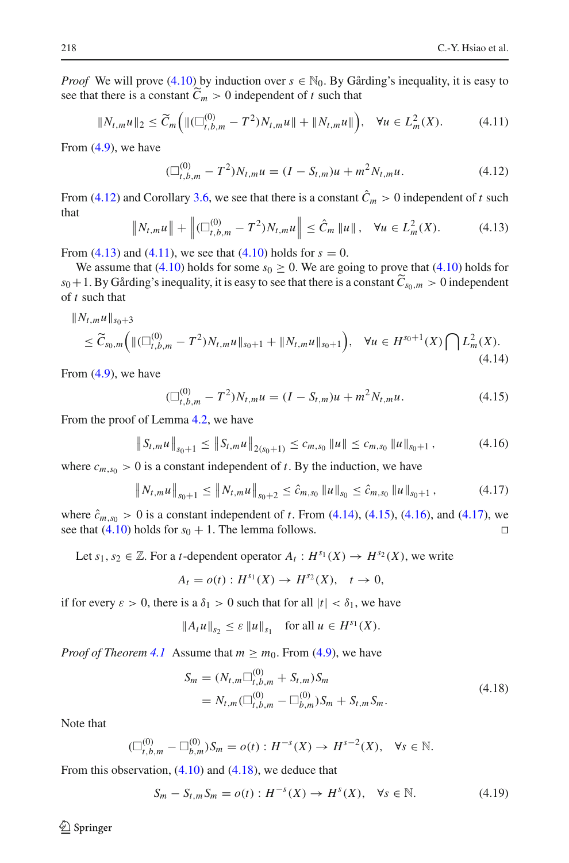*Proof* We will prove [\(4.10\)](#page-16-6) by induction over  $s \in \mathbb{N}_0$ . By Gårding's inequality, it is easy to see that there is a constant  $C_m > 0$  independent of *t* such that

<span id="page-17-2"></span>
$$
||N_{t,m}u||_2 \le \widetilde{C}_m \Big( ||(\Box_{t,b,m}^{(0)} - T^2)N_{t,m}u|| + ||N_{t,m}u|| \Big), \quad \forall u \in L_m^2(X). \tag{4.11}
$$

From [\(4.9\)](#page-16-7), we have

<span id="page-17-0"></span>
$$
(\Box_{t,b,m}^{(0)} - T^2)N_{t,m}u = (I - S_{t,m})u + m^2 N_{t,m}u.
$$
\n(4.12)

From [\(4.12\)](#page-17-0) and Corollary [3.6,](#page-15-3) we see that there is a constant  $\hat{C}_m > 0$  independent of *t* such that

<span id="page-17-1"></span>
$$
\|N_{t,m}u\| + \left\| (\Box_{t,b,m}^{(0)} - T^2)N_{t,m}u \right\| \leq \hat{C}_m \|u\|, \quad \forall u \in L^2_m(X). \tag{4.13}
$$

From [\(4.13\)](#page-17-1) and [\(4.11\)](#page-17-2), we see that [\(4.10\)](#page-16-6) holds for  $s = 0$ .

We assume that [\(4.10\)](#page-16-6) holds for some  $s_0 \ge 0$ . We are going to prove that (4.10) holds for  $s_0+1$ . By Gårding's inequality, it is easy to see that there is a constant  $C_{s_0,m} > 0$  independent of *t* such that

<span id="page-17-3"></span>
$$
\|N_{t,m}u\|_{s_0+3} \le \widetilde{C}_{s_0,m}\Big(\| (\Box_{t,b,m}^{(0)} - T^2)N_{t,m}u\|_{s_0+1} + \|N_{t,m}u\|_{s_0+1}\Big), \quad \forall u \in H^{s_0+1}(X) \bigcap L_m^2(X). \tag{4.14}
$$

From [\(4.9\)](#page-16-7), we have

<span id="page-17-4"></span>
$$
(\Box_{t,b,m}^{(0)} - T^2)N_{t,m}u = (I - S_{t,m})u + m^2 N_{t,m}u.
$$
\n(4.15)

From the proof of Lemma [4.2,](#page-16-8) we have

<span id="page-17-5"></span>
$$
\|S_{t,m}u\|_{s_0+1} \le \|S_{t,m}u\|_{2(s_0+1)} \le c_{m,s_0} \|u\| \le c_{m,s_0} \|u\|_{s_0+1}, \qquad (4.16)
$$

where  $c_{m,s_0} > 0$  is a constant independent of *t*. By the induction, we have

<span id="page-17-6"></span>
$$
\|N_{t,m}u\|_{s_0+1} \le \|N_{t,m}u\|_{s_0+2} \le \hat{c}_{m,s_0} \|u\|_{s_0} \le \hat{c}_{m,s_0} \|u\|_{s_0+1}, \qquad (4.17)
$$

where  $\hat{c}_{m,s_0} > 0$  is a constant independent of *t*. From [\(4.14\)](#page-17-3), [\(4.15\)](#page-17-4), [\(4.16\)](#page-17-5), and [\(4.17\)](#page-17-6), we see that (4.10) holds for  $s_0 + 1$ . The lemma follows. see that  $(4.10)$  holds for  $s_0 + 1$ . The lemma follows.

Let  $s_1, s_2 \in \mathbb{Z}$ . For a *t*-dependent operator  $A_t : H^{s_1}(X) \to H^{s_2}(X)$ , we write

$$
A_t = o(t) : H^{s_1}(X) \to H^{s_2}(X), \quad t \to 0,
$$

if for every  $\varepsilon > 0$ , there is a  $\delta_1 > 0$  such that for all  $|t| < \delta_1$ , we have

$$
||A_t u||_{s_2} \le \varepsilon ||u||_{s_1}
$$
 for all  $u \in H^{s_1}(X)$ .

*Proof of Theorem* [4.1](#page-15-4) Assume that  $m \geq m_0$ . From [\(4.9\)](#page-16-7), we have

<span id="page-17-7"></span>
$$
S_m = (N_{t,m} \Box_{t,b,m}^{(0)} + S_{t,m}) S_m
$$
  
=  $N_{t,m} (\Box_{t,b,m}^{(0)} - \Box_{b,m}^{(0)}) S_m + S_{t,m} S_m.$  (4.18)

Note that

$$
(\Box_{t,b,m}^{(0)} - \Box_{b,m}^{(0)})S_m = o(t) : H^{-s}(X) \to H^{s-2}(X), \quad \forall s \in \mathbb{N}.
$$

From this observation,  $(4.10)$  and  $(4.18)$ , we deduce that

<span id="page-17-8"></span>
$$
S_m - S_{t,m} S_m = o(t) : H^{-s}(X) \to H^s(X), \quad \forall s \in \mathbb{N}.
$$
 (4.19)

 $\circledcirc$  Springer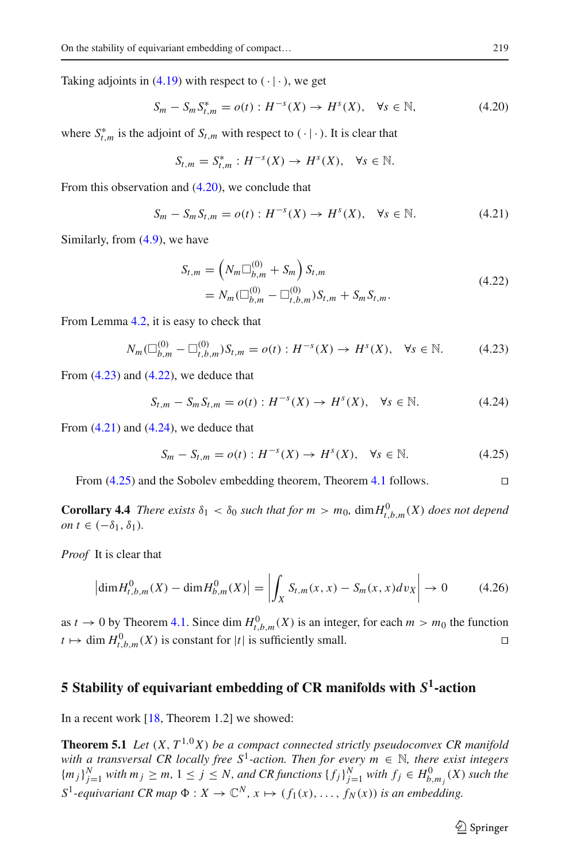Taking adjoints in  $(4.19)$  with respect to  $(·)$ , we get

<span id="page-18-1"></span>
$$
S_m - S_m S_{t,m}^* = o(t) : H^{-s}(X) \to H^s(X), \quad \forall s \in \mathbb{N},\tag{4.20}
$$

where  $S_{t,m}^*$  is the adjoint of  $S_{t,m}$  with respect to  $( \cdot | \cdot )$ . It is clear that

$$
S_{t,m} = S_{t,m}^* : H^{-s}(X) \to H^s(X), \quad \forall s \in \mathbb{N}.
$$

From this observation and [\(4.20\)](#page-18-1), we conclude that

<span id="page-18-4"></span>
$$
S_m - S_m S_{t,m} = o(t) : H^{-s}(X) \to H^s(X), \quad \forall s \in \mathbb{N}.
$$
 (4.21)

Similarly, from [\(4.9\)](#page-16-7), we have

<span id="page-18-3"></span>
$$
S_{t,m} = \left(N_m \Box_{b,m}^{(0)} + S_m\right) S_{t,m}
$$
  
=  $N_m (\Box_{b,m}^{(0)} - \Box_{t,b,m}^{(0)}) S_{t,m} + S_m S_{t,m}.$  (4.22)

From Lemma [4.2,](#page-16-8) it is easy to check that

<span id="page-18-2"></span>
$$
N_m(\Box_{b,m}^{(0)} - \Box_{t,b,m}^{(0)})S_{t,m} = o(t): H^{-s}(X) \to H^s(X), \quad \forall s \in \mathbb{N}.
$$
 (4.23)

From  $(4.23)$  and  $(4.22)$ , we deduce that

<span id="page-18-5"></span>
$$
S_{t,m} - S_m S_{t,m} = o(t) : H^{-s}(X) \to H^s(X), \quad \forall s \in \mathbb{N}.
$$
 (4.24)

From  $(4.21)$  and  $(4.24)$ , we deduce that

<span id="page-18-6"></span>
$$
S_m - S_{t,m} = o(t) : H^{-s}(X) \to H^s(X), \quad \forall s \in \mathbb{N}.
$$
 (4.25)

From  $(4.25)$  and the Sobolev embedding theorem, Theorem [4.1](#page-15-4) follows.

**Corollary 4.4** *There exists*  $\delta_1 < \delta_0$  *such that for*  $m > m_0$ ,  $\dim H^0_{t,b,m}(X)$  *does not depend on*  $t \in (-\delta_1, \delta_1)$ *.* 

*Proof* It is clear that

$$
\left| \dim H_{t,b,m}^0(X) - \dim H_{b,m}^0(X) \right| = \left| \int_X S_{t,m}(x,x) - S_m(x,x) \, dv_X \right| \to 0 \tag{4.26}
$$

as  $t \to 0$  by Theorem [4.1.](#page-15-4) Since dim  $H_{t,b,m}^0(X)$  is an integer, for each  $m > m_0$  the function  $t \mapsto \dim H_{t,b,m}^0(X)$  is constant for  $|t|$  is sufficiently small.

# <span id="page-18-0"></span>**5 Stability of equivariant embedding of CR manifolds with** *S***1-action**

<span id="page-18-7"></span>In a recent work [\[18,](#page-20-12) Theorem 1.2] we showed:

**Theorem 5.1** *Let*  $(X, T^{1,0}X)$  *be a compact connected strictly pseudoconvex CR manifold with a transversal CR locally free*  $S^1$ -action. Then for every  $m \in \mathbb{N}$ , there exist integers  ${m_j}_{j=1}^N$  with  $m_j \ge m, 1 \le j \le N$ , and CR functions  ${f_j}_{j=1}^N$  with  $f_j \in H_{b,m_j}^0(X)$  such the  $S^1$ -equivariant CR map  $\Phi: X \to \mathbb{C}^N$ ,  $x \mapsto (f_1(x), \ldots, f_N(x))$  is an embedding.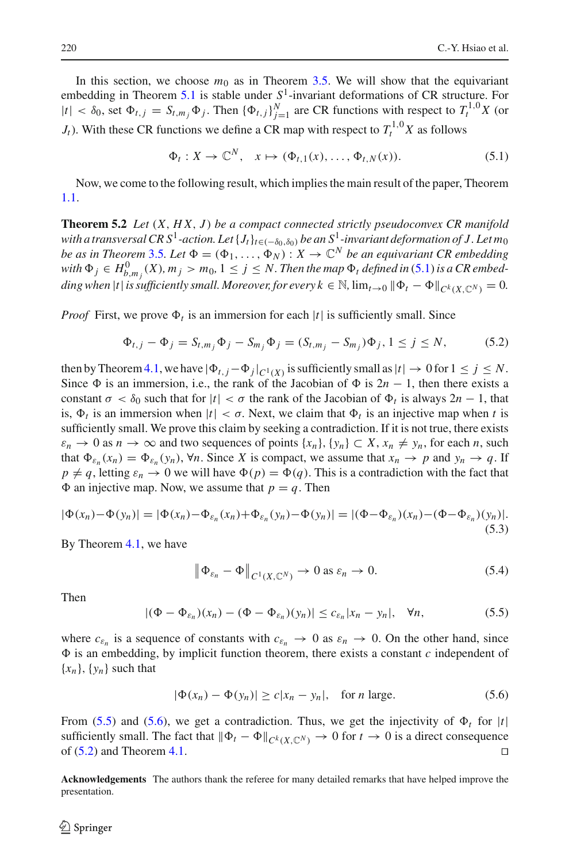In this section, we choose  $m_0$  as in Theorem [3.5.](#page-13-0) We will show that the equivariant embedding in Theorem [5.1](#page-18-7) is stable under *S*1-invariant deformations of CR structure. For  $|t| < \delta_0$ , set  $\Phi_{t,j} = S_{t,m_j} \Phi_j$ . Then  $\{\Phi_{t,j}\}_{j=1}^N$  are CR functions with respect to  $T_t^{1,0} X$  (or *J<sub>t</sub>*). With these CR functions we define a CR map with respect to  $T_t^{1,0}$  *X* as follows

<span id="page-19-0"></span>
$$
\Phi_t: X \to \mathbb{C}^N, \quad x \mapsto (\Phi_{t,1}(x), \dots, \Phi_{t,N}(x)). \tag{5.1}
$$

Now, we come to the following result, which implies the main result of the paper, Theorem [1.1.](#page-2-0)

**Theorem 5.2** *Let* (*X*, *H X*, *J* ) *be a compact connected strictly pseudoconvex CR manifold with a transversal CR S*<sup>1</sup>-action. Let  $\{J_t\}_{t \in (-\delta_0, \delta_0)}$  be an S<sup>1</sup>-invariant deformation of J. Let m<sub>0</sub> *be as in Theorem* [3.5](#page-13-0)*. Let*  $\Phi = (\Phi_1, \ldots, \Phi_N) : X \to \mathbb{C}^N$  *be an equivariant CR embedding with*  $\Phi_j \in H^0_{b,m_j}(X)$ ,  $m_j > m_0$ ,  $1 \leq j \leq N$ . Then the map  $\Phi_t$  defined in [\(5.1\)](#page-19-0) is a CR embed*ding when*  $|t|$  *is sufficiently small. Moreover, for every*  $k \in \mathbb{N}$ ,  $\lim_{t\to 0} ||\Phi_t - \Phi||_{C^k(X,\mathbb{C}^N)} = 0$ .

*Proof* First, we prove  $\Phi_t$  is an immersion for each |t| is sufficiently small. Since

<span id="page-19-3"></span>
$$
\Phi_{t,j} - \Phi_j = S_{t,m_j} \Phi_j - S_{m_j} \Phi_j = (S_{t,m_j} - S_{m_j}) \Phi_j, 1 \le j \le N,
$$
\n(5.2)

then by Theorem [4.1,](#page-15-4) we have  $|\Phi_{t,j} - \Phi_j|_{C^1(X)}$  is sufficiently small as  $|t| \to 0$  for  $1 \le j \le N$ . Since  $\Phi$  is an immersion, i.e., the rank of the Jacobian of  $\Phi$  is  $2n - 1$ , then there exists a constant  $\sigma < \delta_0$  such that for  $|t| < \sigma$  the rank of the Jacobian of  $\Phi_t$  is always  $2n - 1$ , that is,  $\Phi_t$  is an immersion when  $|t| < \sigma$ . Next, we claim that  $\Phi_t$  is an injective map when t is sufficiently small. We prove this claim by seeking a contradiction. If it is not true, there exists  $\varepsilon_n \to 0$  as  $n \to \infty$  and two sequences of points  $\{x_n\}$ ,  $\{y_n\} \subset X$ ,  $x_n \neq y_n$ , for each *n*, such that  $\Phi_{\varepsilon_n}(x_n) = \Phi_{\varepsilon_n}(y_n)$ ,  $\forall n$ . Since *X* is compact, we assume that  $x_n \to p$  and  $y_n \to q$ . If  $p \neq q$ , letting  $\varepsilon_n \to 0$  we will have  $\Phi(p) = \Phi(q)$ . This is a contradiction with the fact that  $\Phi$  an injective map. Now, we assume that  $p = q$ . Then

$$
|\Phi(x_n) - \Phi(y_n)| = |\Phi(x_n) - \Phi_{\varepsilon_n}(x_n) + \Phi_{\varepsilon_n}(y_n) - \Phi(y_n)| = |(\Phi - \Phi_{\varepsilon_n})(x_n) - (\Phi - \Phi_{\varepsilon_n})(y_n)|.
$$
\n(5.3)

By Theorem [4.1,](#page-15-4) we have

$$
\|\Phi_{\varepsilon_n} - \Phi\|_{C^1(X,\mathbb{C}^N)} \to 0 \text{ as } \varepsilon_n \to 0. \tag{5.4}
$$

Then

<span id="page-19-1"></span>
$$
|(\Phi - \Phi_{\varepsilon_n})(x_n) - (\Phi - \Phi_{\varepsilon_n})(y_n)| \leq c_{\varepsilon_n} |x_n - y_n|, \quad \forall n,
$$
\n
$$
(5.5)
$$

where  $c_{\varepsilon_n}$  is a sequence of constants with  $c_{\varepsilon_n} \to 0$  as  $\varepsilon_n \to 0$ . On the other hand, since  $\Phi$  is an embedding, by implicit function theorem, there exists a constant *c* independent of  ${x_n}$ ,  ${y_n}$  such that

<span id="page-19-2"></span>
$$
|\Phi(x_n) - \Phi(y_n)| \ge c|x_n - y_n|, \quad \text{for } n \text{ large.}
$$
 (5.6)

From [\(5.5\)](#page-19-1) and [\(5.6\)](#page-19-2), we get a contradiction. Thus, we get the injectivity of  $\Phi_t$  for |*t*| sufficiently small. The fact that  $\|\Phi_t - \Phi\|_{C^k(X,\mathbb{C}^N)} \to 0$  for  $t \to 0$  is a direct consequence of  $(5.2)$  and Theorem [4.1.](#page-15-4)

**Acknowledgements** The authors thank the referee for many detailed remarks that have helped improve the presentation.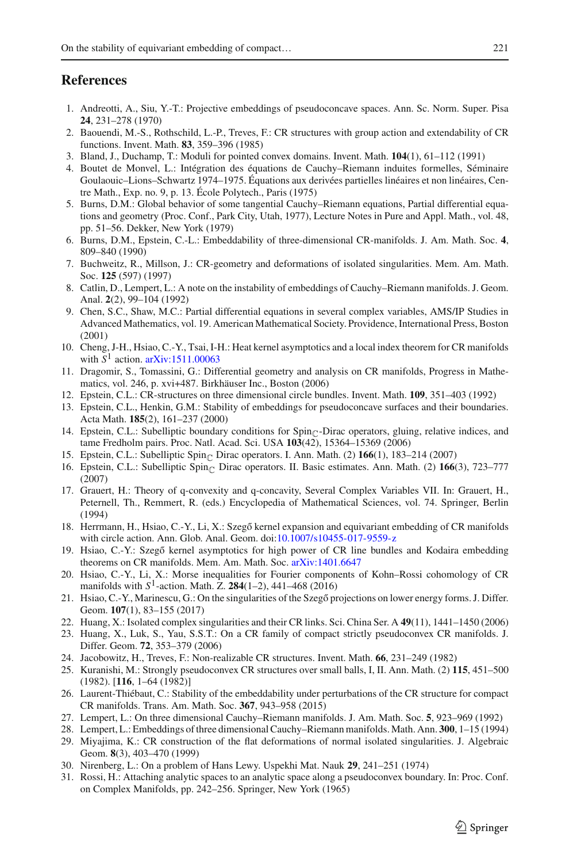### <span id="page-20-0"></span>**References**

- <span id="page-20-5"></span>1. Andreotti, A., Siu, Y.-T.: Projective embeddings of pseudoconcave spaces. Ann. Sc. Norm. Super. Pisa **24**, 231–278 (1970)
- <span id="page-20-26"></span>2. Baouendi, M.-S., Rothschild, L.-P., Treves, F.: CR structures with group action and extendability of CR functions. Invent. Math. **83**, 359–396 (1985)
- <span id="page-20-14"></span>3. Bland, J., Duchamp, T.: Moduli for pointed convex domains. Invent. Math. **104**(1), 61–112 (1991)
- <span id="page-20-1"></span>4. Boutet de Monvel, L.: Intégration des équations de Cauchy–Riemann induites formelles, Séminaire Goulaouic–Lions–Schwartz 1974–1975. Équations aux derivées partielles linéaires et non linéaires, Centre Math., Exp. no. 9, p. 13. École Polytech., Paris (1975)
- <span id="page-20-6"></span>5. Burns, D.M.: Global behavior of some tangential Cauchy–Riemann equations, Partial differential equations and geometry (Proc. Conf., Park City, Utah, 1977), Lecture Notes in Pure and Appl. Math., vol. 48, pp. 51–56. Dekker, New York (1979)
- <span id="page-20-9"></span>6. Burns, D.M., Epstein, C.-L.: Embeddability of three-dimensional CR-manifolds. J. Am. Math. Soc. **4**, 809–840 (1990)
- <span id="page-20-19"></span>7. Buchweitz, R., Millson, J.: CR-geometry and deformations of isolated singularities. Mem. Am. Math. Soc. **125** (597) (1997)
- <span id="page-20-22"></span>8. Catlin, D., Lempert, L.: A note on the instability of embeddings of Cauchy–Riemann manifolds. J. Geom. Anal. **2**(2), 99–104 (1992)
- <span id="page-20-28"></span>9. Chen, S.C., Shaw, M.C.: Partial differential equations in several complex variables, AMS/IP Studies in Advanced Mathematics, vol. 19. American Mathematical Society. Providence, International Press, Boston (2001)
- <span id="page-20-29"></span>10. Cheng, J-H., Hsiao, C.-Y., Tsai, I-H.: Heat kernel asymptotics and a local index theorem for CR manifolds with  $S^1$  action. [arXiv:1511.00063](http://arxiv.org/abs/1511.00063)
- <span id="page-20-30"></span>11. Dragomir, S., Tomassini, G.: Differential geometry and analysis on CR manifolds, Progress in Mathematics, vol. 246, p. xvi+487. Birkhäuser Inc., Boston (2006)
- <span id="page-20-11"></span>12. Epstein, C.L.: CR-structures on three dimensional circle bundles. Invent. Math. **109**, 351–403 (1992)
- <span id="page-20-15"></span>13. Epstein, C.L., Henkin, G.M.: Stability of embeddings for pseudoconcave surfaces and their boundaries. Acta Math. **185**(2), 161–237 (2000)
- <span id="page-20-23"></span>14. Epstein, C.L.: Subelliptic boundary conditions for Spin<sub>C</sub>-Dirac operators, gluing, relative indices, and tame Fredholm pairs. Proc. Natl. Acad. Sci. USA **103**(42), 15364–15369 (2006)
- 15. Epstein, C.L.: Subelliptic Spin<sub>C</sub> Dirac operators. I. Ann. Math. (2) 166(1), 183–214 (2007)
- <span id="page-20-24"></span>16. Epstein, C.L.: Subelliptic Spin<sub>C</sub> Dirac operators. II. Basic estimates. Ann. Math. (2) 166(3), 723-777 (2007)
- <span id="page-20-7"></span>17. Grauert, H.: Theory of q-convexity and q-concavity, Several Complex Variables VII. In: Grauert, H., Peternell, Th., Remmert, R. (eds.) Encyclopedia of Mathematical Sciences, vol. 74. Springer, Berlin (1994)
- <span id="page-20-12"></span>18. Herrmann, H., Hsiao, C.-Y., Li, X.: Szegő kernel expansion and equivariant embedding of CR manifolds with circle action. Ann. Glob. Anal. Geom. doi[:10.1007/s10455-017-9559-z](http://dx.doi.org/10.1007/s10455-017-9559-z)
- <span id="page-20-27"></span>19. Hsiao, C.-Y.: Szegő kernel asymptotics for high power of CR line bundles and Kodaira embedding theorems on CR manifolds. Mem. Am. Math. Soc. [arXiv:1401.6647](http://arxiv.org/abs/1401.6647)
- <span id="page-20-25"></span>20. Hsiao, C.-Y., Li, X.: Morse inequalities for Fourier components of Kohn–Rossi cohomology of CR manifolds with  $S^1$ -action. Math. Z.  $284(1-2)$ , 441–468 (2016)
- <span id="page-20-13"></span>21. Hsiao, C.-Y., Marinescu, G.: On the singularities of the Szegő projections on lower energy forms. J. Differ. Geom. **107**(1), 83–155 (2017)
- <span id="page-20-20"></span>22. Huang, X.: Isolated complex singularities and their CR links. Sci. China Ser. A **49**(11), 1441–1450 (2006)
- <span id="page-20-16"></span>23. Huang, X., Luk, S., Yau, S.S.T.: On a CR family of compact strictly pseudoconvex CR manifolds. J. Differ. Geom. **72**, 353–379 (2006)
- <span id="page-20-2"></span>24. Jacobowitz, H., Treves, F.: Non-realizable CR structures. Invent. Math. **66**, 231–249 (1982)
- <span id="page-20-3"></span>25. Kuranishi, M.: Strongly pseudoconvex CR structures over small balls, I, II. Ann. Math. (2) **115**, 451–500 (1982). [**116**, 1–64 (1982)]
- <span id="page-20-17"></span>26. Laurent-Thiébaut, C.: Stability of the embeddability under perturbations of the CR structure for compact CR manifolds. Trans. Am. Math. Soc. **367**, 943–958 (2015)
- <span id="page-20-10"></span>27. Lempert, L.: On three dimensional Cauchy–Riemann manifolds. J. Am. Math. Soc. **5**, 923–969 (1992)
- <span id="page-20-18"></span>28. Lempert, L.: Embeddings of three dimensional Cauchy–Riemann manifolds. Math. Ann. **300**, 1–15 (1994)
- <span id="page-20-21"></span>29. Miyajima, K.: CR construction of the flat deformations of normal isolated singularities. J. Algebraic Geom. **8**(3), 403–470 (1999)
- <span id="page-20-4"></span>30. Nirenberg, L.: On a problem of Hans Lewy. Uspekhi Mat. Nauk **29**, 241–251 (1974)
- <span id="page-20-8"></span>31. Rossi, H.: Attaching analytic spaces to an analytic space along a pseudoconvex boundary. In: Proc. Conf. on Complex Manifolds, pp. 242–256. Springer, New York (1965)